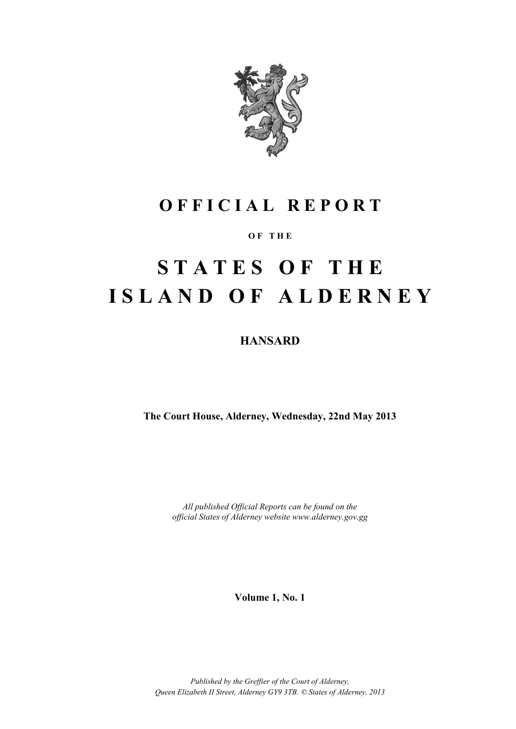

# **O F F I C I A L R E P O R T**

#### **O F T H E**

# **S T A T E S O F T H E I S L A N D O F A L D E R N E Y**

### **HANSARD**

**The Court House, Alderney, Wednesday, 22nd May 2013**

*All published Official Reports can be found on the official States of Alderney website www.alderney.gov.gg*

**Volume 1, No. 1**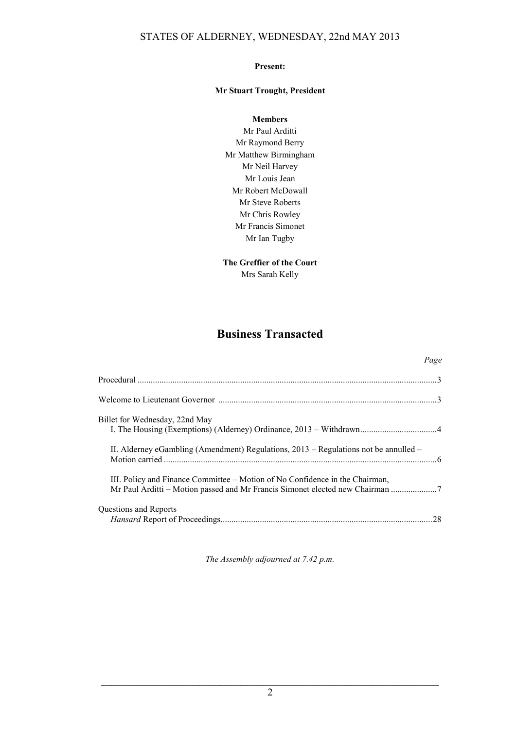#### **Present:**

#### **Mr Stuart Trought, President**

#### **Members**

Mr Paul Arditti Mr Raymond Berry Mr Matthew Birmingham Mr Neil Harvey Mr Louis Jean Mr Robert McDowall Mr Steve Roberts Mr Chris Rowley Mr Francis Simonet Mr Ian Tugby

## **The Greffier of the Court**

Mrs Sarah Kelly

## **Business Transacted**

*Page*

|                                                                                                                                                               | rage |
|---------------------------------------------------------------------------------------------------------------------------------------------------------------|------|
|                                                                                                                                                               |      |
|                                                                                                                                                               |      |
| Billet for Wednesday, 22nd May                                                                                                                                |      |
| II. Alderney eGambling (Amendment) Regulations, $2013$ – Regulations not be annulled –                                                                        |      |
| III. Policy and Finance Committee – Motion of No Confidence in the Chairman,<br>Mr Paul Arditti - Motion passed and Mr Francis Simonet elected new Chairman 7 |      |
| Questions and Reports                                                                                                                                         |      |

*The Assembly adjourned at 7.42 p.m.*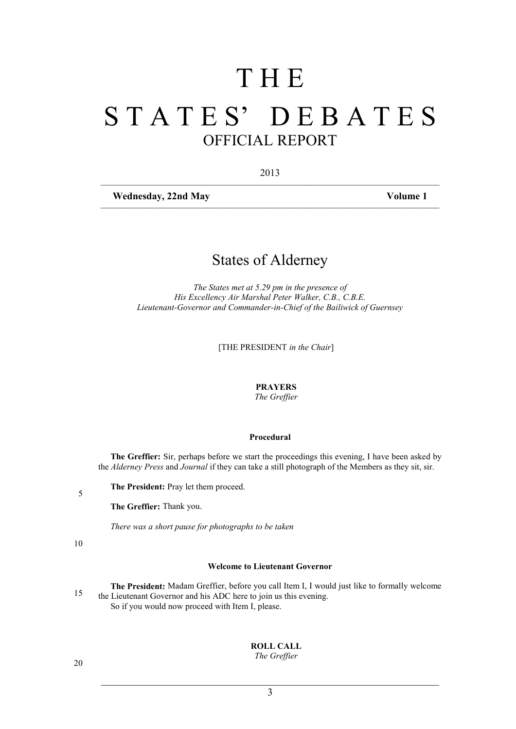# T H E S T A T E S' D E B A T E S OFFICIAL REPORT

2013 ––––––––––––––––––––––––––––––––––––––––––––––––––––––––––––––––––––

––––––––––––––––––––––––––––––––––––––––––––––––––––––––––––––––––––

Wednesday, 22nd May Volume 1

## States of Alderney

*The States met at 5.29 pm in the presence of His Excellency Air Marshal Peter Walker, C.B., C.B.E. Lieutenant-Governor and Commander-in-Chief of the Bailiwick of Guernsey*

[THE PRESIDENT *in the Chair*]

#### **PRAYERS**

*The Greffier*

#### **Procedural**

**The Greffier:** Sir, perhaps before we start the proceedings this evening, I have been asked by the *Alderney Press* and *Journal* if they can take a still photograph of the Members as they sit, sir.

**The President:** Pray let them proceed.

**The Greffier:** Thank you.

*There was a short pause for photographs to be taken*

10

5

#### **Welcome to Lieutenant Governor**

**The President:** Madam Greffier, before you call Item I, I would just like to formally welcome the Lieutenant Governor and his ADC here to join us this evening. So if you would now proceed with Item I, please.

> **ROLL CALL** *The Greffier*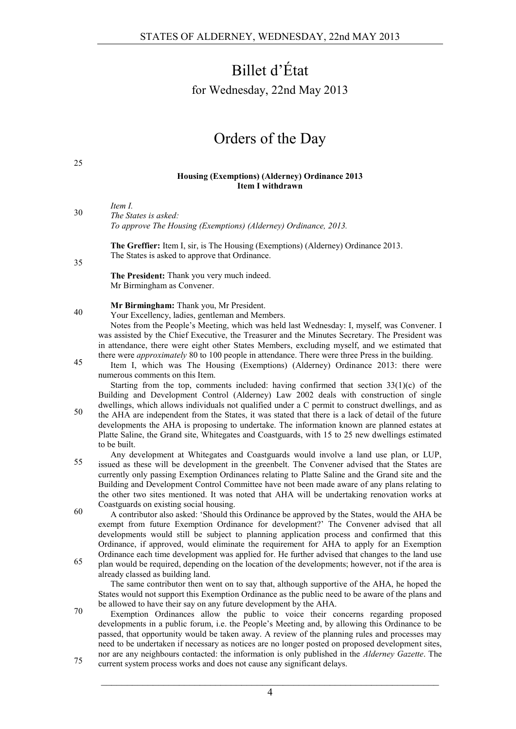# Billet d'État

for Wednesday, 22nd May 2013

# Orders of the Day

#### **Housing (Exemptions) (Alderney) Ordinance 2013 Item I withdrawn**

*Item I.*

25

35

*The States is asked:* 30 *To approve The Housing (Exemptions) (Alderney) Ordinance, 2013.*

> **The Greffier:** Item I, sir, is The Housing (Exemptions) (Alderney) Ordinance 2013. The States is asked to approve that Ordinance.

**The President:** Thank you very much indeed. Mr Birmingham as Convener.

**Mr Birmingham:** Thank you, Mr President.

40 Wour Excellency, ladies, gentleman and Members.

Notes from the People's Meeting, which was held last Wednesday: I, myself, was Convener. I was assisted by the Chief Executive, the Treasurer and the Minutes Secretary. The President was in attendance, there were eight other States Members, excluding myself, and we estimated that there were *approximately* 80 to 100 people in attendance. There were three Press in the building.

Item I, which was The Housing (Exemptions) (Alderney) Ordinance 2013: there were 45 numerous comments on this Item.

Starting from the top, comments included: having confirmed that section  $33(1)(c)$  of the Building and Development Control (Alderney) Law 2002 deals with construction of single dwellings, which allows individuals not qualified under a C permit to construct dwellings, and as

the AHA are independent from the States, it was stated that there is a lack of detail of the future developments the AHA is proposing to undertake. The information known are planned estates at Platte Saline, the Grand site, Whitegates and Coastguards, with 15 to 25 new dwellings estimated to be built.

Any development at Whitegates and Coastguards would involve a land use plan, or LUP, <sup>55</sup> issued as these will be development in the greenbelt. The Convener advised that the States are currently only passing Exemption Ordinances relating to Platte Saline and the Grand site and the Building and Development Control Committee have not been made aware of any plans relating to the other two sites mentioned. It was noted that AHA will be undertaking renovation works at Coastguards on existing social housing.

- $\frac{60}{\text{A}}$  contributor also asked: 'Should this Ordinance be approved by the States, would the AHA be exempt from future Exemption Ordinance for development?' The Convener advised that all developments would still be subject to planning application process and confirmed that this Ordinance, if approved, would eliminate the requirement for AHA to apply for an Exemption Ordinance each time development was applied for. He further advised that changes to the land use
- plan would be required, depending on the location of the developments; however, not if the area is already classed as building land.

The same contributor then went on to say that, although supportive of the AHA, he hoped the States would not support this Exemption Ordinance as the public need to be aware of the plans and be allowed to have their say on any future development by the AHA.

- Exemption Ordinances allow the public to voice their concerns regarding proposed developments in a public forum, i.e. the People's Meeting and, by allowing this Ordinance to be passed, that opportunity would be taken away. A review of the planning rules and processes may need to be undertaken if necessary as notices are no longer posted on proposed development sites, nor are any neighbours contacted: the information is only published in the *Alderney Gazette*. The
- The current system process works and does not cause any significant delays.

 $\mathcal{L}_\text{max}$  , and the contribution of the contribution of the contribution of the contribution of the contribution of the contribution of the contribution of the contribution of the contribution of the contribution of t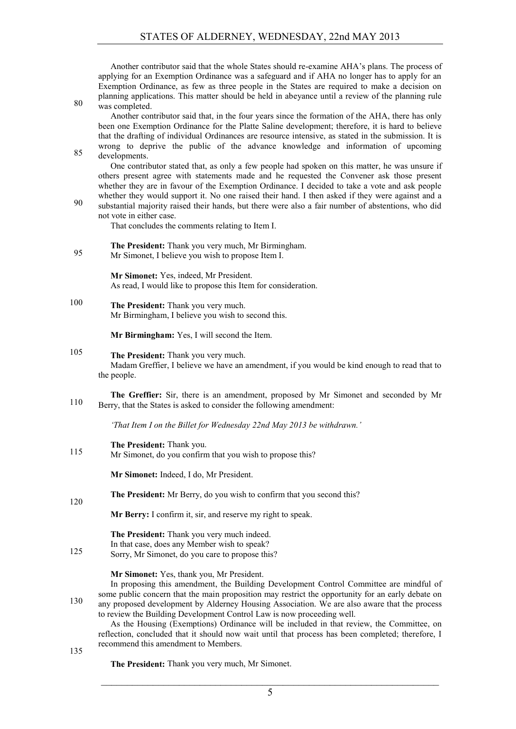Another contributor said that the whole States should re-examine AHA's plans. The process of applying for an Exemption Ordinance was a safeguard and if AHA no longer has to apply for an Exemption Ordinance, as few as three people in the States are required to make a decision on planning applications. This matter should be held in abeyance until a review of the planning rule 80 was completed.

Another contributor said that, in the four years since the formation of the AHA, there has only been one Exemption Ordinance for the Platte Saline development; therefore, it is hard to believe that the drafting of individual Ordinances are resource intensive, as stated in the submission. It is wrong to deprive the public of the advance knowledge and information of upcoming  $85$  developments.

One contributor stated that, as only a few people had spoken on this matter, he was unsure if others present agree with statements made and he requested the Convener ask those present whether they are in favour of the Exemption Ordinance. I decided to take a vote and ask people whether they would support it. No one raised their hand. I then asked if they were against and a

substantial majority raised their hands, but there were also a fair number of abstentions, who did 90 not vote in either case.

That concludes the comments relating to Item I.

**The President:** Thank you very much, Mr Birmingham. Mr Simonet, I believe you wish to propose Item I.

> **Mr Simonet:** Yes, indeed, Mr President. As read, I would like to propose this Item for consideration.

100 **The President:** Thank you very much. Mr Birmingham, I believe you wish to second this.

**Mr Birmingham:** Yes, I will second the Item.

- 105 **The President:** Thank you very much. Madam Greffier, I believe we have an amendment, if you would be kind enough to read that to the people.
- **The Greffier:** Sir, there is an amendment, proposed by Mr Simonet and seconded by Mr Berry, that the States is asked to consider the following amendment:

*'That Item I on the Billet for Wednesday 22nd May 2013 be withdrawn.'*

**The President:** Thank you. Mr Simonet, do you confirm that you wish to propose this?

**Mr Simonet:** Indeed, I do, Mr President.

**The President:** Mr Berry, do you wish to confirm that you second this? 120

**Mr Berry:** I confirm it, sir, and reserve my right to speak.

**The President:** Thank you very much indeed. In that case, does any Member wish to speak?

125 Sorry, Mr Simonet, do you care to propose this?

**Mr Simonet:** Yes, thank you, Mr President.

In proposing this amendment, the Building Development Control Committee are mindful of some public concern that the main proposition may restrict the opportunity for an early debate on any proposed development by Alderney Housing Association. We are also aware that the process to review the Building Development Control Law is now proceeding well.

As the Housing (Exemptions) Ordinance will be included in that review, the Committee, on reflection, concluded that it should now wait until that process has been completed; therefore, I recommend this amendment to Members.

135

**The President:** Thank you very much, Mr Simonet.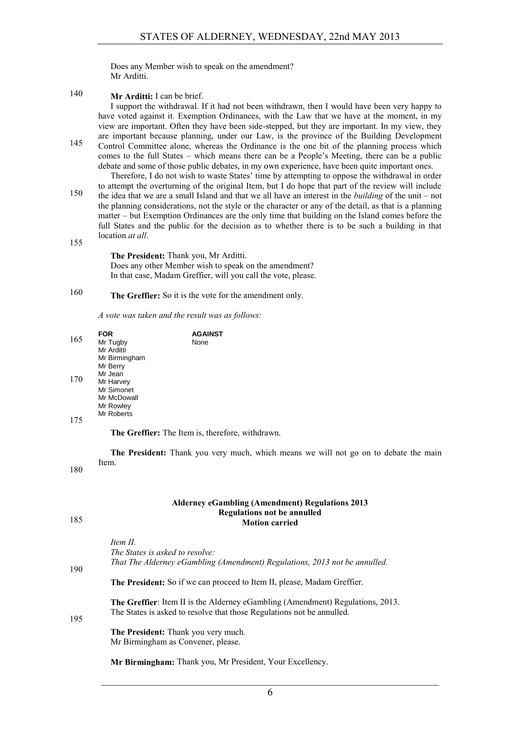Does any Member wish to speak on the amendment? Mr Arditti.

140 **Mr Arditti:** I can be brief.

I support the withdrawal. If it had not been withdrawn, then I would have been very happy to have voted against it. Exemption Ordinances, with the Law that we have at the moment, in my view are important. Often they have been side-stepped, but they are important. In my view, they are important because planning, under our Law, is the province of the Building Development

- Control Committee alone, whereas the Ordinance is the one bit of the planning process which 145 comes to the full States – which means there can be a People's Meeting, there can be a public debate and some of those public debates, in my own experience, have been quite important ones. Therefore, I do not wish to waste States' time by attempting to oppose the withdrawal in order
- to attempt the overturning of the original Item, but I do hope that part of the review will include the idea that we are a small Island and that we all have an interest in the *building* of the unit – not the planning considerations, not the style or the character or any of the detail, as that is a planning matter – but Exemption Ordinances are the only time that building on the Island comes before the full States and the public for the decision as to whether there is to be such a building in that location *at all*.

155

**The President:** Thank you, Mr Arditti. Does any other Member wish to speak on the amendment? In that case, Madam Greffier, will you call the vote, please.

### 160 **The Greffier:** So it is the vote for the amendment only.

*A vote was taken and the result was as follows:*

|     | FOR           | <b>AGAINST</b> |
|-----|---------------|----------------|
| 165 | Mr Tugby      | None           |
|     | Mr Arditti    |                |
|     | Mr Birmingham |                |
|     | Mr Berry      |                |
|     | Mr Jean       |                |
| 170 | Mr Harvey     |                |
|     | Mr Simonet    |                |
|     | Mr McDowall   |                |
|     | Mr Rowley     |                |
|     | Mr Roberts    |                |
| 175 |               |                |

**The Greffier:** The Item is, therefore, withdrawn.

**The President:** Thank you very much, which means we will not go on to debate the main Item.

180

#### **Alderney eGambling (Amendment) Regulations 2013 Regulations not be annulled Motion carried**

|  | ٠<br>۰.<br>۰.<br>w | n sa<br>I<br>۰. |
|--|--------------------|-----------------|
|--|--------------------|-----------------|

|     | Item II.                                                                                                                                                        |
|-----|-----------------------------------------------------------------------------------------------------------------------------------------------------------------|
|     | The States is asked to resolve:                                                                                                                                 |
| 190 | That The Alderney eGambling (Amendment) Regulations, 2013 not be annulled.                                                                                      |
|     | <b>The President:</b> So if we can proceed to Item II, please, Madam Greffier.                                                                                  |
| 195 | <b>The Greffier:</b> Item II is the Alderney eGambling (Amendment) Regulations, 2013.<br>The States is asked to resolve that those Regulations not be annulled. |
|     | <b>The President:</b> Thank you very much.<br>Mr Birmingham as Convener, please.                                                                                |
|     | Mr Birmingham: Thank you, Mr President, Your Excellency.                                                                                                        |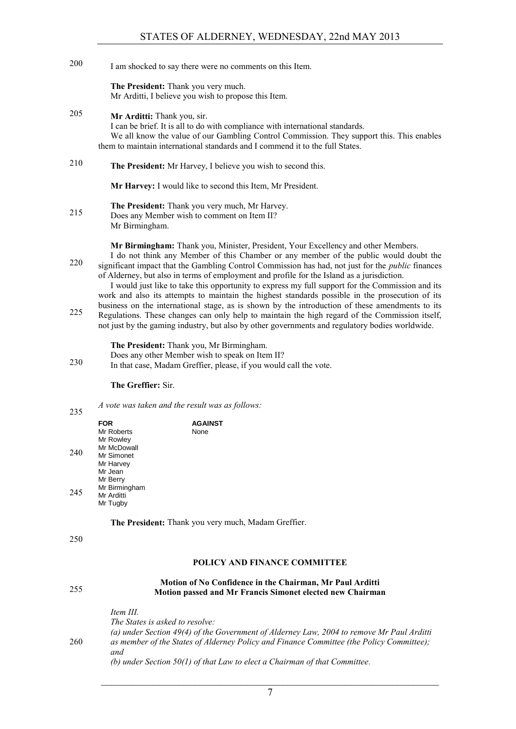I am shocked to say there were no comments on this Item. 200

**The President:** Thank you very much. Mr Arditti, I believe you wish to propose this Item.

- **Mr Arditti:** Thank you, sir. 205 I can be brief. It is all to do with compliance with international standards. We all know the value of our Gambling Control Commission. They support this. This enables them to maintain international standards and I commend it to the full States.
- **The President:** Mr Harvey, I believe you wish to second this. 210

**Mr Harvey:** I would like to second this Item, Mr President.

**The President:** Thank you very much, Mr Harvey. 215 Does any Member wish to comment on Item II? Mr Birmingham.

**Mr Birmingham:** Thank you, Minister, President, Your Excellency and other Members.

I do not think any Member of this Chamber or any member of the public would doubt the significant impact that the Gambling Control Commission has had, not just for the *public* finances 220 of Alderney, but also in terms of employment and profile for the Island as a jurisdiction.

I would just like to take this opportunity to express my full support for the Commission and its work and also its attempts to maintain the highest standards possible in the prosecution of its business on the international stage, as is shown by the introduction of these amendments to its Regulations. These changes can only help to maintain the high regard of the Commission itself, not just by the gaming industry, but also by other governments and regulatory bodies worldwide.

**The President:** Thank you, Mr Birmingham.

- Does any other Member wish to speak on Item II?
- 230 In that case, Madam Greffier, please, if you would call the vote.

#### **The Greffier:** Sir.

*A vote was taken and the result was as follows:*

|     | <b>FOR</b><br>Mr Roberts<br>Mr Rowley                          | <b>AGAINST</b><br>None |
|-----|----------------------------------------------------------------|------------------------|
| 240 | Mr McDowall<br>Mr Simonet<br>Mr Harvey                         |                        |
| 245 | Mr Jean<br>Mr Berry<br>Mr Birmingham<br>Mr Arditti<br>Mr Tugby |                        |

**The President:** Thank you very much, Madam Greffier.

250

235

#### **POLICY AND FINANCE COMMITTEE**

#### **Motion of No Confidence in the Chairman, Mr Paul Arditti Motion passed and Mr Francis Simonet elected new Chairman** 255

*Item III. The States is asked to resolve: (a) under Section 49(4) of the Government of Alderney Law, 2004 to remove Mr Paul Arditti*  260 *as member of the States of Alderney Policy and Finance Committee (the Policy Committee); and (b) under Section 50(1) of that Law to elect a Chairman of that Committee.*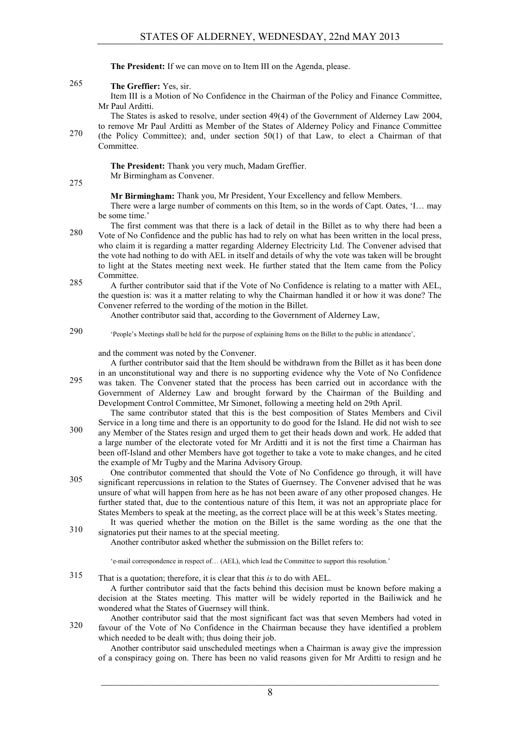**The President:** If we can move on to Item III on the Agenda, please.

**The Greffier:** Yes, sir. 265

Item III is a Motion of No Confidence in the Chairman of the Policy and Finance Committee, Mr Paul Arditti.

The States is asked to resolve, under section 49(4) of the Government of Alderney Law 2004, to remove Mr Paul Arditti as Member of the States of Alderney Policy and Finance Committee

270 (the Policy Committee); and, under section 50(1) of that Law, to elect a Chairman of that Committee.

> **The President:** Thank you very much, Madam Greffier. Mr Birmingham as Convener.

275

**Mr Birmingham:** Thank you, Mr President, Your Excellency and fellow Members.

There were a large number of comments on this Item, so in the words of Capt. Oates, 'I… may be some time.'

The first comment was that there is a lack of detail in the Billet as to why there had been a Vote of No Confidence and the public has had to rely on what has been written in the local press, 280 who claim it is regarding a matter regarding Alderney Electricity Ltd. The Convener advised that the vote had nothing to do with AEL in itself and details of why the vote was taken will be brought to light at the States meeting next week. He further stated that the Item came from the Policy Committee.

285 A further contributor said that if the Vote of No Confidence is relating to a matter with AEL, the question is: was it a matter relating to why the Chairman handled it or how it was done? The Convener referred to the wording of the motion in the Billet.

Another contributor said that, according to the Government of Alderney Law,

'People's Meetings shall be held for the purpose of explaining Items on the Billet to the public in attendance', 290

and the comment was noted by the Convener.

A further contributor said that the Item should be withdrawn from the Billet as it has been done in an unconstitutional way and there is no supporting evidence why the Vote of No Confidence was taken. The Convener stated that the process has been carried out in accordance with the Government of Alderney Law and brought forward by the Chairman of the Building and Development Control Committee, Mr Simonet, following a meeting held on 29th April.

The same contributor stated that this is the best composition of States Members and Civil Service in a long time and there is an opportunity to do good for the Island. He did not wish to see any Member of the States resign and urged them to get their heads down and work. He added that a large number of the electorate voted for Mr Arditti and it is not the first time a Chairman has been off-Island and other Members have got together to take a vote to make changes, and he cited the example of Mr Tugby and the Marina Advisory Group.

One contributor commented that should the Vote of No Confidence go through, it will have significant repercussions in relation to the States of Guernsey. The Convener advised that he was unsure of what will happen from here as he has not been aware of any other proposed changes. He further stated that, due to the contentious nature of this Item, it was not an appropriate place for States Members to speak at the meeting, as the correct place will be at this week's States meeting.

It was queried whether the motion on the Billet is the same wording as the one that the signatories put their names to at the special meeting. 310

Another contributor asked whether the submission on the Billet refers to:

'e-mail correspondence in respect of… (AEL), which lead the Committee to support this resolution.'

That is a quotation; therefore, it is clear that this *is* to do with AEL. 315

A further contributor said that the facts behind this decision must be known before making a decision at the States meeting. This matter will be widely reported in the Bailiwick and he wondered what the States of Guernsey will think.

Another contributor said that the most significant fact was that seven Members had voted in favour of the Vote of No Confidence in the Chairman because they have identified a problem 320 which needed to be dealt with; thus doing their job.

Another contributor said unscheduled meetings when a Chairman is away give the impression of a conspiracy going on. There has been no valid reasons given for Mr Arditti to resign and he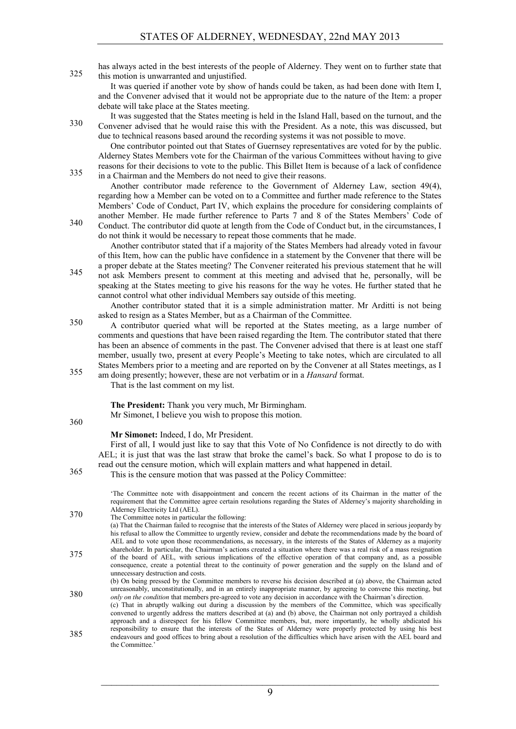has always acted in the best interests of the people of Alderney. They went on to further state that 325 this motion is unwarranted and unjustified.

It was queried if another vote by show of hands could be taken, as had been done with Item I, and the Convener advised that it would not be appropriate due to the nature of the Item: a proper debate will take place at the States meeting.

It was suggested that the States meeting is held in the Island Hall, based on the turnout, and the Convener advised that he would raise this with the President. As a note, this was discussed, but due to technical reasons based around the recording systems it was not possible to move.

One contributor pointed out that States of Guernsey representatives are voted for by the public. Alderney States Members vote for the Chairman of the various Committees without having to give reasons for their decisions to vote to the public. This Billet Item is because of a lack of confidence in a Chairman and the Members do not need to give their reasons. 335

Another contributor made reference to the Government of Alderney Law, section 49(4), regarding how a Member can be voted on to a Committee and further made reference to the States Members' Code of Conduct, Part IV, which explains the procedure for considering complaints of another Member. He made further reference to Parts 7 and 8 of the States Members' Code of

Conduct. The contributor did quote at length from the Code of Conduct but, in the circumstances, I 340 do not think it would be necessary to repeat those comments that he made.

Another contributor stated that if a majority of the States Members had already voted in favour of this Item, how can the public have confidence in a statement by the Convener that there will be a proper debate at the States meeting? The Convener reiterated his previous statement that he will

not ask Members present to comment at this meeting and advised that he, personally, will be speaking at the States meeting to give his reasons for the way he votes. He further stated that he cannot control what other individual Members say outside of this meeting.

Another contributor stated that it is a simple administration matter. Mr Arditti is not being asked to resign as a States Member, but as a Chairman of the Committee.

- A contributor queried what will be reported at the States meeting, as a large number of comments and questions that have been raised regarding the Item. The contributor stated that there has been an absence of comments in the past. The Convener advised that there is at least one staff member, usually two, present at every People's Meeting to take notes, which are circulated to all States Members prior to a meeting and are reported on by the Convener at all States meetings, as I am doing presently; however, these are not verbatim or in a *Hansard* format.
	-

That is the last comment on my list.

360

**The President:** Thank you very much, Mr Birmingham.

Mr Simonet, I believe you wish to propose this motion.

**Mr Simonet:** Indeed, I do, Mr President.

First of all, I would just like to say that this Vote of No Confidence is not directly to do with AEL; it is just that was the last straw that broke the camel's back. So what I propose to do is to read out the censure motion, which will explain matters and what happened in detail.

This is the censure motion, which will supply matters and what happens This is the censure motion that was passed at the Policy Committee:

'The Committee note with disappointment and concern the recent actions of its Chairman in the matter of the requirement that the Committee agree certain resolutions regarding the States of Alderney's majority shareholding in Alderney Electricity Ltd (AEL). The Committee notes in particular the following:

(a) That the Chairman failed to recognise that the interests of the States of Alderney were placed in serious jeopardy by his refusal to allow the Committee to urgently review, consider and debate the recommendations made by the board of AEL and to vote upon those recommendations, as necessary, in the interests of the States of Alderney as a majority shareholder. In particular, the Chairman's actions created a situation where there was a real risk of a mass resignation of the board of AEL, with serious implications of the effective operation of that company and, as a possible 375 consequence, create a potential threat to the continuity of power generation and the supply on the Island and of unnecessary destruction and costs. (b) On being pressed by the Committee members to reverse his decision described at (a) above, the Chairman acted unreasonably, unconstitutionally, and in an entirely inappropriate manner, by agreeing to convene this meeting, but *only on the condition* that members pre-agreed to vote any decision in accordance with the Chairman's direction. (c) That in abruptly walking out during a discussion by the members of the Committee, which was specifically convened to urgently address the matters described at (a) and (b) above, the Chairman not only portrayed a childish approach and a disrespect for his fellow Committee members, but, more importantly, he wholly abdicated his

responsibility to ensure that the interests of the States of Alderney were properly protected by using his best endeavours and good offices to bring about a resolution of the difficulties which have arisen with the AEL board and 385 the Committee.'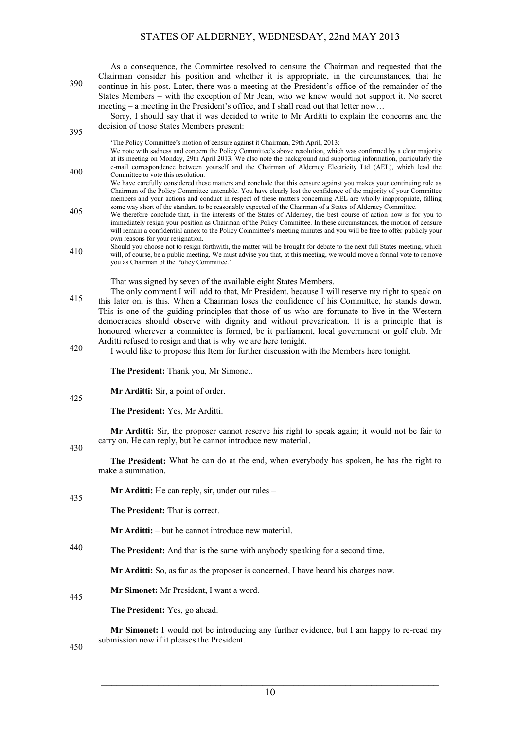As a consequence, the Committee resolved to censure the Chairman and requested that the Chairman consider his position and whether it is appropriate, in the circumstances, that he continue in his post. Later, there was a meeting at the President's office of the remainder of the States Members – with the exception of Mr Jean, who we knew would not support it. No secret meeting – a meeting in the President's office, and I shall read out that letter now…

Sorry, I should say that it was decided to write to Mr Arditti to explain the concerns and the decision of those States Members present:

'The Policy Committee's motion of censure against it Chairman, 29th April, 2013:

- We note with sadness and concern the Policy Committee's above resolution, which was confirmed by a clear majority at its meeting on Monday, 29th April 2013. We also note the background and supporting information, particularly the e-mail correspondence between yourself and the Chairman of Alderney Electricity Ltd (AEL), which lead the 400 Committee to vote this resolution.
	- We have carefully considered these matters and conclude that this censure against you makes your continuing role as Chairman of the Policy Committee untenable. You have clearly lost the confidence of the majority of your Committee members and your actions and conduct in respect of these matters concerning AEL are wholly inappropriate, falling some way short of the standard to be reasonably expected of the Chairman of a States of Alderney Committee.
- We therefore conclude that, in the interests of the States of Alderney, the best course of action now is for you to 405 immediately resign your position as Chairman of the Policy Committee. In these circumstances, the motion of censure will remain a confidential annex to the Policy Committee's meeting minutes and you will be free to offer publicly your own reasons for your resignation.
- Should you choose not to resign forthwith, the matter will be brought for debate to the next full States meeting, which should you choose not to resign fortuwith, the matter will be brought for debate to the flext full states meeting, which will, of course, be a public meeting. We must advise you that, at this meeting, we would move a forma you as Chairman of the Policy Committee.'

That was signed by seven of the available eight States Members.

- The only comment I will add to that, Mr President, because I will reserve my right to speak on this later on, is this. When a Chairman loses the confidence of his Committee, he stands down. This is one of the guiding principles that those of us who are fortunate to live in the Western democracies should observe with dignity and without prevarication. It is a principle that is honoured wherever a committee is formed, be it parliament, local government or golf club. Mr Arditti refused to resign and that is why we are here tonight.
- I would like to propose this Item for further discussion with the Members here tonight.

**The President:** Thank you, Mr Simonet.

**Mr Arditti:** Sir, a point of order.

**The President:** Yes, Mr Arditti.

**Mr Arditti:** Sir, the proposer cannot reserve his right to speak again; it would not be fair to carry on. He can reply, but he cannot introduce new material.

430

425

395

**The President:** What he can do at the end, when everybody has spoken, he has the right to make a summation.

**Mr Arditti:** He can reply, sir, under our rules – 435

**The President:** That is correct.

**Mr Arditti:** – but he cannot introduce new material.

**The President:** And that is the same with anybody speaking for a second time.

**Mr Arditti:** So, as far as the proposer is concerned, I have heard his charges now.

**Mr Simonet:** Mr President, I want a word.

**The President:** Yes, go ahead.

**Mr Simonet:** I would not be introducing any further evidence, but I am happy to re-read my submission now if it pleases the President.

450

445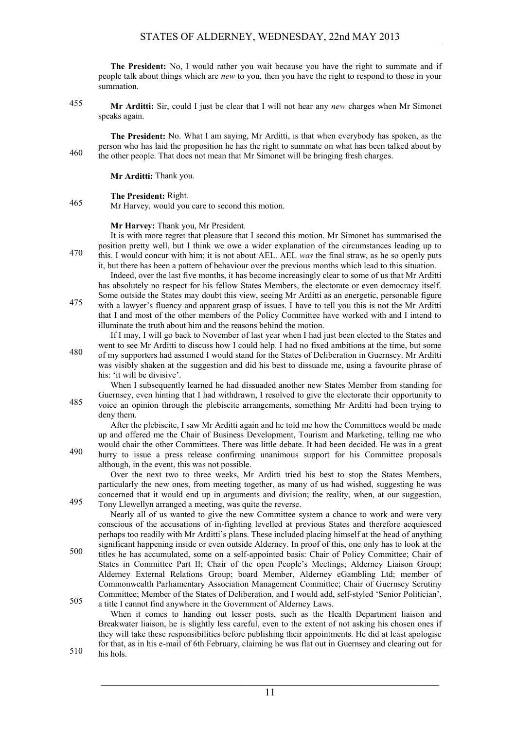**The President:** No, I would rather you wait because you have the right to summate and if people talk about things which are *new* to you, then you have the right to respond to those in your summation.

**Mr Arditti:** Sir, could I just be clear that I will not hear any *new* charges when Mr Simonet 455 speaks again.

**The President:** No. What I am saying, Mr Arditti, is that when everybody has spoken, as the person who has laid the proposition he has the right to summate on what has been talked about by the other people. That does not mean that Mr Simonet will be bringing fresh charges.

**Mr Arditti:** Thank you.

#### **The President:** Right.

465 **Mr Harvey, would you care to second this motion.** 

#### **Mr Harvey:** Thank you, Mr President.

It is with more regret that pleasure that I second this motion. Mr Simonet has summarised the position pretty well, but I think we owe a wider explanation of the circumstances leading up to this. I would concur with him; it is not about AEL. AEL *was* the final straw, as he so openly puts it, but there has been a pattern of behaviour over the previous months which lead to this situation.

Indeed, over the last five months, it has become increasingly clear to some of us that Mr Arditti has absolutely no respect for his fellow States Members, the electorate or even democracy itself.

Some outside the States may doubt this view, seeing Mr Arditti as an energetic, personable figure with a lawyer's fluency and apparent grasp of issues. I have to tell you this is not the Mr Arditti 475 that I and most of the other members of the Policy Committee have worked with and I intend to illuminate the truth about him and the reasons behind the motion.

If I may, I will go back to November of last year when I had just been elected to the States and went to see Mr Arditti to discuss how I could help. I had no fixed ambitions at the time, but some of my supporters had assumed I would stand for the States of Deliberation in Guernsey. Mr Arditti was visibly shaken at the suggestion and did his best to dissuade me, using a favourite phrase of his: 'it will be divisive'.

When I subsequently learned he had dissuaded another new States Member from standing for Guernsey, even hinting that I had withdrawn, I resolved to give the electorate their opportunity to voice an opinion through the plebiscite arrangements, something Mr Arditti had been trying to 485 deny them.

After the plebiscite, I saw Mr Arditti again and he told me how the Committees would be made up and offered me the Chair of Business Development, Tourism and Marketing, telling me who would chair the other Committees. There was little debate. It had been decided. He was in a great hurry to issue a press release confirming unanimous support for his Committee proposals although, in the event, this was not possible.

Over the next two to three weeks, Mr Arditti tried his best to stop the States Members, particularly the new ones, from meeting together, as many of us had wished, suggesting he was concerned that it would end up in arguments and division; the reality, when, at our suggestion, Tony Llewellyn arranged a meeting, was quite the reverse. 495

Nearly all of us wanted to give the new Committee system a chance to work and were very conscious of the accusations of in-fighting levelled at previous States and therefore acquiesced perhaps too readily with Mr Arditti's plans. These included placing himself at the head of anything significant happening inside or even outside Alderney. In proof of this, one only has to look at the

titles he has accumulated, some on a self-appointed basis: Chair of Policy Committee; Chair of 500 States in Committee Part II; Chair of the open People's Meetings; Alderney Liaison Group; Alderney External Relations Group; board Member, Alderney eGambling Ltd; member of Commonwealth Parliamentary Association Management Committee; Chair of Guernsey Scrutiny Committee; Member of the States of Deliberation, and I would add, self-styled 'Senior Politician', 505 a title I cannot find anywhere in the Government of Alderney Laws.

When it comes to handing out lesser posts, such as the Health Department liaison and Breakwater liaison, he is slightly less careful, even to the extent of not asking his chosen ones if they will take these responsibilities before publishing their appointments. He did at least apologise for that, as in his e-mail of 6th February, claiming he was flat out in Guernsey and clearing out for

 $510$  his hols.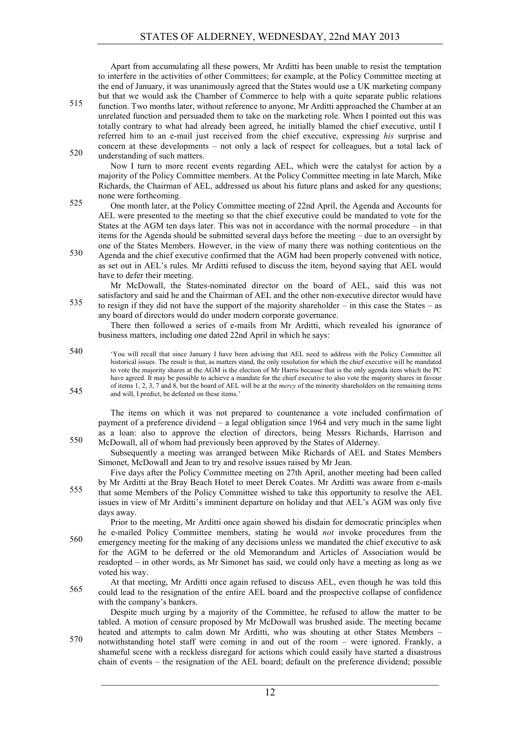Apart from accumulating all these powers, Mr Arditti has been unable to resist the temptation to interfere in the activities of other Committees; for example, at the Policy Committee meeting at the end of January, it was unanimously agreed that the States would use a UK marketing company but that we would ask the Chamber of Commerce to help with a quite separate public relations

function. Two months later, without reference to anyone, Mr Arditti approached the Chamber at an unrelated function and persuaded them to take on the marketing role. When I pointed out this was totally contrary to what had already been agreed, he initially blamed the chief executive, until I referred him to an e-mail just received from the chief executive, expressing *his* surprise and concern at these developments – not only a lack of respect for colleagues, but a total lack of 520 understanding of such matters.

Now I turn to more recent events regarding AEL, which were the catalyst for action by a majority of the Policy Committee members. At the Policy Committee meeting in late March, Mike Richards, the Chairman of AEL, addressed us about his future plans and asked for any questions; none were forthcoming.

S25 One month later, at the Policy Committee meeting of 22nd April, the Agenda and Accounts for AEL were presented to the meeting so that the chief executive could be mandated to vote for the States at the AGM ten days later. This was not in accordance with the normal procedure – in that items for the Agenda should be submitted several days before the meeting – due to an oversight by one of the States Members. However, in the view of many there was nothing contentious on the

Agenda and the chief executive confirmed that the AGM had been properly convened with notice, as set out in AEL's rules. Mr Arditti refused to discuss the item, beyond saying that AEL would have to defer their meeting.

Mr McDowall, the States-nominated director on the board of AEL, said this was not satisfactory and said he and the Chairman of AEL and the other non-executive director would have to resign if they did not have the support of the majority shareholder – in this case the States – as any board of directors would do under modern corporate governance.

There then followed a series of e-mails from Mr Arditti, which revealed his ignorance of business matters, including one dated 22nd April in which he says:

'You will recall that since January I have been advising that AEL need to address with the Policy Committee all 540 historical issues. The result is that, as matters stand, the only resolution for which the chief executive will be mandated to vote the majority shares at the AGM is the election of Mr Harris because that is the only agenda item which the PC have agreed. It may be possible to achieve a mandate for the chief executive to also vote the majority shares in favour of items 1, 2, 3, 7 and 8, but the board of AEL will be at the *mercy* of the minority shareholders on the remaining items  $545$  and will, I predict, be defeated on these items.'

The items on which it was not prepared to countenance a vote included confirmation of payment of a preference dividend – a legal obligation since 1964 and very much in the same light as a loan: also to approve the election of directors, being Messrs Richards, Harrison and McDowall, all of whom had previously been approved by the States of Alderney.

Subsequently a meeting was arranged between Mike Richards of AEL and States Members Simonet, McDowall and Jean to try and resolve issues raised by Mr Jean.

Five days after the Policy Committee meeting on 27th April, another meeting had been called by Mr Arditti at the Bray Beach Hotel to meet Derek Coates. Mr Arditti was aware from e-mails that some Members of the Policy Committee wished to take this opportunity to resolve the AEL issues in view of Mr Arditti's imminent departure on holiday and that AEL's AGM was only five days away.

Prior to the meeting, Mr Arditti once again showed his disdain for democratic principles when he e-mailed Policy Committee members, stating he would *not* invoke procedures from the <sup>560</sup> emergency meeting for the making of any decisions unless we mandated the chief executive to ask for the AGM to be deferred or the old Memorandum and Articles of Association would be readopted – in other words, as Mr Simonet has said, we could only have a meeting as long as we voted his way.

At that meeting, Mr Arditti once again refused to discuss AEL, even though he was told this could lead to the resignation of the entire AEL board and the prospective collapse of confidence with the company's bankers.

Despite much urging by a majority of the Committee, he refused to allow the matter to be tabled. A motion of censure proposed by Mr McDowall was brushed aside. The meeting became heated and attempts to calm down Mr Arditti, who was shouting at other States Members – notwithstanding hotel staff were coming in and out of the room – were ignored. Frankly, a 570 shameful scene with a reckless disregard for actions which could easily have started a disastrous chain of events – the resignation of the AEL board; default on the preference dividend; possible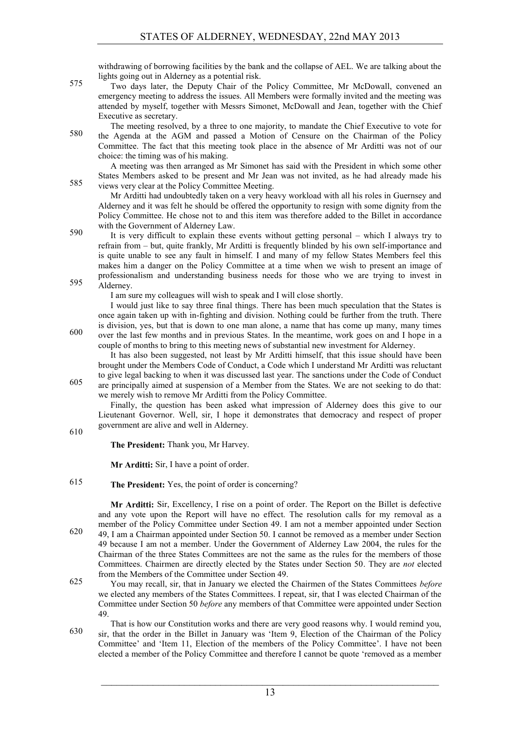withdrawing of borrowing facilities by the bank and the collapse of AEL. We are talking about the lights going out in Alderney as a potential risk.

- Two days later, the Deputy Chair of the Policy Committee, Mr McDowall, convened an emergency meeting to address the issues. All Members were formally invited and the meeting was attended by myself, together with Messrs Simonet, McDowall and Jean, together with the Chief Executive as secretary.
- The meeting resolved, by a three to one majority, to mandate the Chief Executive to vote for 580 the Agenda at the AGM and passed a Motion of Censure on the Chairman of the Policy Committee. The fact that this meeting took place in the absence of Mr Arditti was not of our choice: the timing was of his making.

A meeting was then arranged as Mr Simonet has said with the President in which some other States Members asked to be present and Mr Jean was not invited, as he had already made his 585 views very clear at the Policy Committee Meeting.

Mr Arditti had undoubtedly taken on a very heavy workload with all his roles in Guernsey and Alderney and it was felt he should be offered the opportunity to resign with some dignity from the Policy Committee. He chose not to and this item was therefore added to the Billet in accordance with the Government of Alderney Law.

It is very difficult to explain these events without getting personal – which I always try to refrain from – but, quite frankly, Mr Arditti is frequently blinded by his own self-importance and is quite unable to see any fault in himself. I and many of my fellow States Members feel this makes him a danger on the Policy Committee at a time when we wish to present an image of professionalism and understanding business needs for those who we are trying to invest in 595 Alderney.

I am sure my colleagues will wish to speak and I will close shortly.

I would just like to say three final things. There has been much speculation that the States is once again taken up with in-fighting and division. Nothing could be further from the truth. There is division, yes, but that is down to one man alone, a name that has come up many, many times over the last few months and in previous States. In the meantime, work goes on and I hope in a couple of months to bring to this meeting news of substantial new investment for Alderney.

It has also been suggested, not least by Mr Arditti himself, that this issue should have been brought under the Members Code of Conduct, a Code which I understand Mr Arditti was reluctant to give legal backing to when it was discussed last year. The sanctions under the Code of Conduct are principally aimed at suspension of a Member from the States. We are not seeking to do that: we merely wish to remove Mr Arditti from the Policy Committee.

Finally, the question has been asked what impression of Alderney does this give to our Lieutenant Governor. Well, sir, I hope it demonstrates that democracy and respect of proper government are alive and well in Alderney.

610

**The President:** Thank you, Mr Harvey.

**Mr Arditti:** Sir, I have a point of order.

**The President:** Yes, the point of order is concerning?

**Mr Arditti:** Sir, Excellency, I rise on a point of order. The Report on the Billet is defective and any vote upon the Report will have no effect. The resolution calls for my removal as a member of the Policy Committee under Section 49. I am not a member appointed under Section 49, I am a Chairman appointed under Section 50. I cannot be removed as a member under Section 49 because I am not a member. Under the Government of Alderney Law 2004, the rules for the Chairman of the three States Committees are not the same as the rules for the members of those Committees. Chairmen are directly elected by the States under Section 50. They are *not* elected from the Members of the Committee under Section 49.

You may recall, sir, that in January we elected the Chairmen of the States Committees *before* we elected any members of the States Committees. I repeat, sir, that I was elected Chairman of the Committee under Section 50 *before* any members of that Committee were appointed under Section 49.

That is how our Constitution works and there are very good reasons why. I would remind you, sir, that the order in the Billet in January was 'Item 9, Election of the Chairman of the Policy 630 Committee' and 'Item 11, Election of the members of the Policy Committee'. I have not been elected a member of the Policy Committee and therefore I cannot be quote 'removed as a member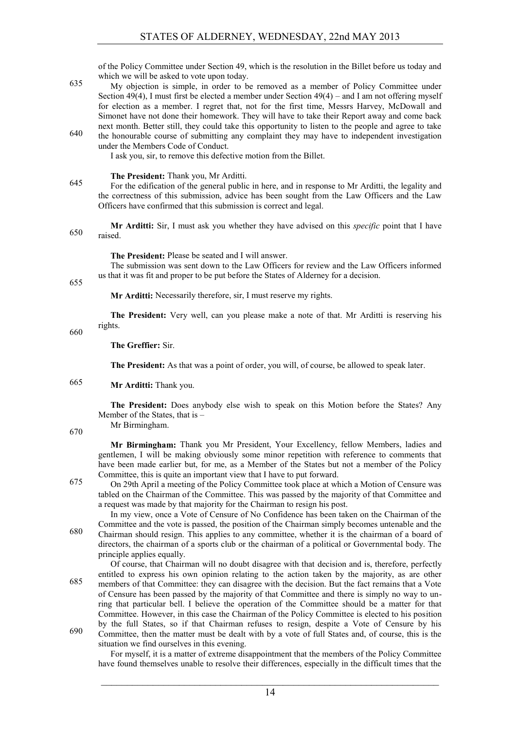of the Policy Committee under Section 49, which is the resolution in the Billet before us today and which we will be asked to vote upon today.

- My objection is simple, in order to be removed as a member of Policy Committee under Section 49(4), I must first be elected a member under Section 49(4) – and I am not offering myself for election as a member. I regret that, not for the first time, Messrs Harvey, McDowall and Simonet have not done their homework. They will have to take their Report away and come back next month. Better still, they could take this opportunity to listen to the people and agree to take
- $t_{\text{ref}}$  the honourable course of submitting any complaint they may have to independent investigation under the Members Code of Conduct.

I ask you, sir, to remove this defective motion from the Billet.

**The President:** Thank you, Mr Arditti.

For the edification of the general public in here, and in response to Mr Arditti, the legality and 645 the correctness of this submission, advice has been sought from the Law Officers and the Law Officers have confirmed that this submission is correct and legal.

**Mr Arditti:** Sir, I must ask you whether they have advised on this *specific* point that I have  $650$  raised.

**The President:** Please be seated and I will answer.

The submission was sent down to the Law Officers for review and the Law Officers informed us that it was fit and proper to be put before the States of Alderney for a decision.

655

**Mr Arditti:** Necessarily therefore, sir, I must reserve my rights.

**The President:** Very well, can you please make a note of that. Mr Arditti is reserving his rights.

660

**The Greffier:** Sir.

**The President:** As that was a point of order, you will, of course, be allowed to speak later.

#### **Mr Arditti:** Thank you. 665

**The President:** Does anybody else wish to speak on this Motion before the States? Any Member of the States, that is – Mr Birmingham.

670

**Mr Birmingham:** Thank you Mr President, Your Excellency, fellow Members, ladies and gentlemen, I will be making obviously some minor repetition with reference to comments that have been made earlier but, for me, as a Member of the States but not a member of the Policy Committee, this is quite an important view that I have to put forward.

On 29th April a meeting of the Policy Committee took place at which a Motion of Censure was 675 tabled on the Chairman of the Committee. This was passed by the majority of that Committee and a request was made by that majority for the Chairman to resign his post.

In my view, once a Vote of Censure of No Confidence has been taken on the Chairman of the Committee and the vote is passed, the position of the Chairman simply becomes untenable and the Chairman should resign. This applies to any committee, whether it is the chairman of a board of 680 directors, the chairman of a sports club or the chairman of a political or Governmental body. The principle applies equally.

Of course, that Chairman will no doubt disagree with that decision and is, therefore, perfectly entitled to express his own opinion relating to the action taken by the majority, as are other members of that Committee: they can disagree with the decision. But the fact remains that a Vote of Censure has been passed by the majority of that Committee and there is simply no way to unring that particular bell. I believe the operation of the Committee should be a matter for that Committee. However, in this case the Chairman of the Policy Committee is elected to his position by the full States, so if that Chairman refuses to resign, despite a Vote of Censure by his Committee, then the matter must be dealt with by a vote of full States and, of course, this is the

situation we find ourselves in this evening.

For myself, it is a matter of extreme disappointment that the members of the Policy Committee have found themselves unable to resolve their differences, especially in the difficult times that the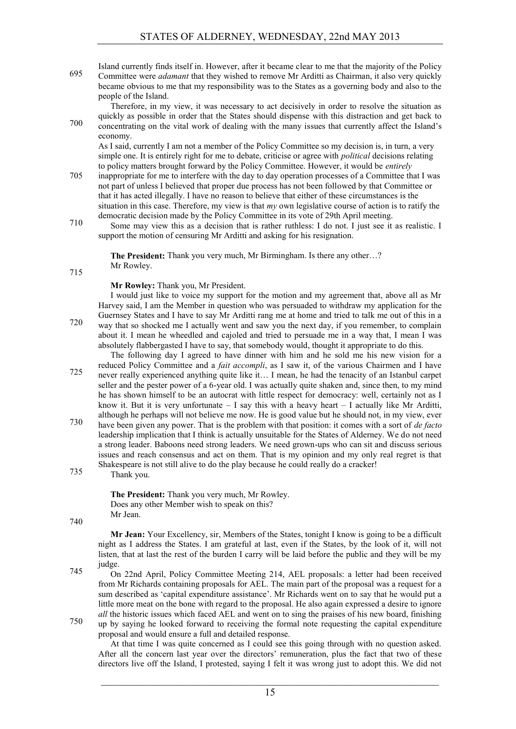Island currently finds itself in. However, after it became clear to me that the majority of the Policy Committee were *adamant* that they wished to remove Mr Arditti as Chairman, it also very quickly 695 became obvious to me that my responsibility was to the States as a governing body and also to the people of the Island.

Therefore, in my view, it was necessary to act decisively in order to resolve the situation as quickly as possible in order that the States should dispense with this distraction and get back to concentrating on the vital work of dealing with the many issues that currently affect the Island's 700

economy. As I said, currently I am not a member of the Policy Committee so my decision is, in turn, a very simple one. It is entirely right for me to debate, criticise or agree with *political* decisions relating to policy matters brought forward by the Policy Committee. However, it would be *entirely*

- 705 inappropriate for me to interfere with the day to day operation processes of a Committee that I was not part of unless I believed that proper due process has not been followed by that Committee or that it has acted illegally. I have no reason to believe that either of these circumstances is the situation in this case. Therefore, my view is that *my* own legislative course of action is to ratify the democratic decision made by the Policy Committee in its vote of 29th April meeting.
- Some may view this as a decision that is rather ruthless: I do not. I just see it as realistic. I support the motion of censuring Mr Arditti and asking for his resignation.

**The President:** Thank you very much, Mr Birmingham. Is there any other…? Mr Rowley.

715

#### **Mr Rowley:** Thank you, Mr President.

I would just like to voice my support for the motion and my agreement that, above all as Mr Harvey said, I am the Member in question who was persuaded to withdraw my application for the Guernsey States and I have to say Mr Arditti rang me at home and tried to talk me out of this in a way that so shocked me I actually went and saw you the next day, if you remember, to complain about it. I mean he wheedled and cajoled and tried to persuade me in a way that, I mean I was absolutely flabbergasted I have to say, that somebody would, thought it appropriate to do this.

The following day I agreed to have dinner with him and he sold me his new vision for a reduced Policy Committee and a *fait accompli*, as I saw it, of the various Chairmen and I have never really experienced anything quite like it… I mean, he had the tenacity of an Istanbul carpet seller and the pester power of a 6-year old. I was actually quite shaken and, since then, to my mind he has shown himself to be an autocrat with little respect for democracy: well, certainly not as I know it. But it is very unfortunate  $- I$  say this with a heavy heart  $- I$  actually like Mr Arditti, although he perhaps will not believe me now. He is good value but he should not, in my view, ever

- have been given any power. That is the problem with that position: it comes with a sort of *de facto* 730 leadership implication that I think is actually unsuitable for the States of Alderney. We do not need a strong leader. Baboons need strong leaders. We need grown-ups who can sit and discuss serious issues and reach consensus and act on them. That is my opinion and my only real regret is that Shakespeare is not still alive to do the play because he could really do a cracker!
- Thank you. 735

**The President:** Thank you very much, Mr Rowley. Does any other Member wish to speak on this? Mr Jean.

740

**Mr Jean:** Your Excellency, sir, Members of the States, tonight I know is going to be a difficult night as I address the States. I am grateful at last, even if the States, by the look of it, will not listen, that at last the rest of the burden I carry will be laid before the public and they will be my judge.

On 22nd April, Policy Committee Meeting 214, AEL proposals: a letter had been received 745 from Mr Richards containing proposals for AEL. The main part of the proposal was a request for a sum described as 'capital expenditure assistance'. Mr Richards went on to say that he would put a little more meat on the bone with regard to the proposal. He also again expressed a desire to ignore *all* the historic issues which faced AEL and went on to sing the praises of his new board, finishing The up by saying he looked forward to receiving the formal note requesting the capital expenditure

proposal and would ensure a full and detailed response.

At that time I was quite concerned as I could see this going through with no question asked. After all the concern last year over the directors' remuneration, plus the fact that two of these directors live off the Island, I protested, saying I felt it was wrong just to adopt this. We did not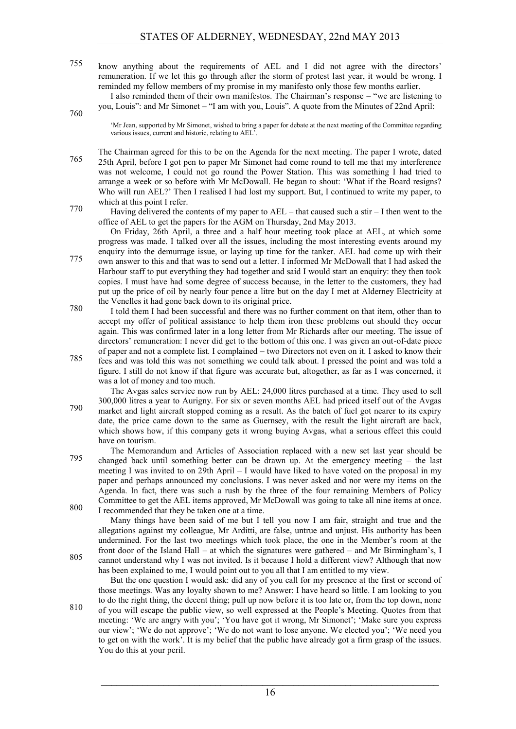know anything about the requirements of AEL and I did not agree with the directors' 755 remuneration. If we let this go through after the storm of protest last year, it would be wrong. I reminded my fellow members of my promise in my manifesto only those few months earlier.

I also reminded them of their own manifestos. The Chairman's response – "we are listening to you, Louis": and Mr Simonet – "I am with you, Louis". A quote from the Minutes of 22nd April:

760

'Mr Jean, supported by Mr Simonet, wished to bring a paper for debate at the next meeting of the Committee regarding various issues, current and historic, relating to AEL'.

The Chairman agreed for this to be on the Agenda for the next meeting. The paper I wrote, dated 25th April, before I got pen to paper Mr Simonet had come round to tell me that my interference was not welcome, I could not go round the Power Station. This was something I had tried to arrange a week or so before with Mr McDowall. He began to shout: 'What if the Board resigns? Who will run AEL?' Then I realised I had lost my support. But, I continued to write my paper, to which at this point I refer.

Having delivered the contents of my paper to AEL – that caused such a stir – I then went to the office of AEL to get the papers for the AGM on Thursday, 2nd May 2013.

On Friday, 26th April, a three and a half hour meeting took place at AEL, at which some progress was made. I talked over all the issues, including the most interesting events around my enquiry into the demurrage issue, or laying up time for the tanker. AEL had come up with their own answer to this and that was to send out a letter. I informed Mr McDowall that I had asked the Harbour staff to put everything they had together and said I would start an enquiry: they then took copies. I must have had some degree of success because, in the letter to the customers, they had put up the price of oil by nearly four pence a litre but on the day I met at Alderney Electricity at

- the Venelles it had gone back down to its original price. I told them I had been successful and there was no further comment on that item, other than to 780 accept my offer of political assistance to help them iron these problems out should they occur again. This was confirmed later in a long letter from Mr Richards after our meeting. The issue of directors' remuneration: I never did get to the bottom of this one. I was given an out-of-date piece
- of paper and not a complete list. I complained two Directors not even on it. I asked to know their Fees and was told this was not something we could talk about. I pressed the point and was told a 785 figure. I still do not know if that figure was accurate but, altogether, as far as I was concerned, it was a lot of money and too much.

The Avgas sales service now run by AEL: 24,000 litres purchased at a time. They used to sell 300,000 litres a year to Aurigny. For six or seven months AEL had priced itself out of the Avgas market and light aircraft stopped coming as a result. As the batch of fuel got nearer to its expiry 790 date, the price came down to the same as Guernsey, with the result the light aircraft are back, which shows how, if this company gets it wrong buying Avgas, what a serious effect this could have on tourism.

The Memorandum and Articles of Association replaced with a new set last year should be changed back until something better can be drawn up. At the emergency meeting – the last meeting I was invited to on 29th April – I would have liked to have voted on the proposal in my paper and perhaps announced my conclusions. I was never asked and nor were my items on the Agenda. In fact, there was such a rush by the three of the four remaining Members of Policy Committee to get the AEL items approved, Mr McDowall was going to take all nine items at once. I recommended that they be taken one at a time. 800

Many things have been said of me but I tell you now I am fair, straight and true and the allegations against my colleague, Mr Arditti, are false, untrue and unjust. His authority has been undermined. For the last two meetings which took place, the one in the Member's room at the front door of the Island Hall – at which the signatures were gathered – and Mr Birmingham's, I 805 cannot understand why I was not invited. Is it because I hold a different view? Although that now has been explained to me, I would point out to you all that I am entitled to my view.

But the one question I would ask: did any of you call for my presence at the first or second of those meetings. Was any loyalty shown to me? Answer: I have heard so little. I am looking to you to do the right thing, the decent thing; pull up now before it is too late or, from the top down, none

of you will escape the public view, so well expressed at the People's Meeting. Quotes from that meeting: 'We are angry with you'; 'You have got it wrong, Mr Simonet'; 'Make sure you express our view'; 'We do not approve'; 'We do not want to lose anyone. We elected you'; 'We need you to get on with the work'. It is my belief that the public have already got a firm grasp of the issues. You do this at your peril.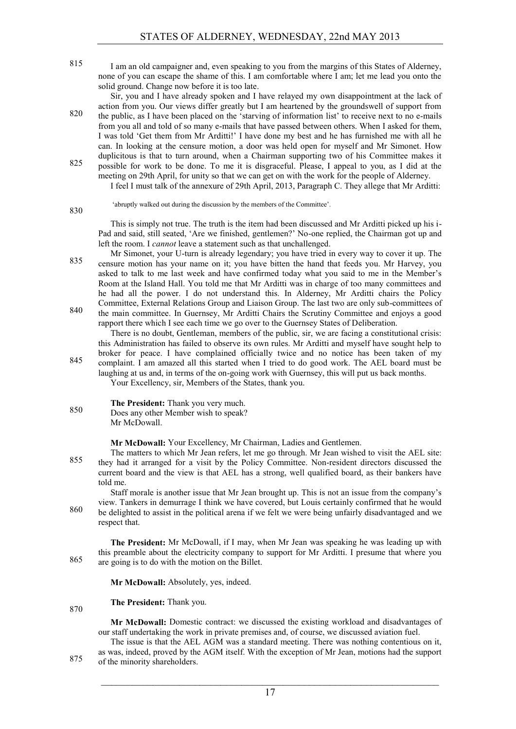I am an old campaigner and, even speaking to you from the margins of this States of Alderney, 815 none of you can escape the shame of this. I am comfortable where I am; let me lead you onto the solid ground. Change now before it is too late.

Sir, you and I have already spoken and I have relayed my own disappointment at the lack of action from you. Our views differ greatly but I am heartened by the groundswell of support from the public, as I have been placed on the 'starving of information list' to receive next to no e-mails 820 from you all and told of so many e-mails that have passed between others. When I asked for them, I was told 'Get them from Mr Arditti!' I have done my best and he has furnished me with all he can. In looking at the censure motion, a door was held open for myself and Mr Simonet. How duplicitous is that to turn around, when a Chairman supporting two of his Committee makes it possible for work to be done. To me it is disgraceful. Please, I appeal to you, as I did at the 825

- meeting on 29th April, for unity so that we can get on with the work for the people of Alderney. I feel I must talk of the annexure of 29th April, 2013, Paragraph C. They allege that Mr Arditti:
	- 'abruptly walked out during the discussion by the members of the Committee'.

This is simply not true. The truth is the item had been discussed and Mr Arditti picked up his i-Pad and said, still seated, 'Are we finished, gentlemen?' No-one replied, the Chairman got up and left the room. I *cannot* leave a statement such as that unchallenged.

Mr Simonet, your U-turn is already legendary; you have tried in every way to cover it up. The censure motion has your name on it; you have bitten the hand that feeds you. Mr Harvey, you asked to talk to me last week and have confirmed today what you said to me in the Member's Room at the Island Hall. You told me that Mr Arditti was in charge of too many committees and he had all the power. I do not understand this. In Alderney, Mr Arditti chairs the Policy Committee, External Relations Group and Liaison Group. The last two are only sub-committees of 840 the main committee. In Guernsey, Mr Arditti Chairs the Scrutiny Committee and enjoys a good

rapport there which I see each time we go over to the Guernsey States of Deliberation.

There is no doubt, Gentleman, members of the public, sir, we are facing a constitutional crisis: this Administration has failed to observe its own rules. Mr Arditti and myself have sought help to broker for peace. I have complained officially twice and no notice has been taken of my

845 complaint. I am amazed all this started when I tried to do good work. The AEL board must be laughing at us and, in terms of the on-going work with Guernsey, this will put us back months. Your Excellency, sir, Members of the States, thank you.

#### **The President:** Thank you very much. Does any other Member wish to speak? 850 Mr McDowall.

830

870

**Mr McDowall:** Your Excellency, Mr Chairman, Ladies and Gentlemen.

The matters to which Mr Jean refers, let me go through. Mr Jean wished to visit the AEL site: they had it arranged for a visit by the Policy Committee. Non-resident directors discussed the current board and the view is that AEL has a strong, well qualified board, as their bankers have told me.

Staff morale is another issue that Mr Jean brought up. This is not an issue from the company's view. Tankers in demurrage I think we have covered, but Louis certainly confirmed that he would be delighted to assist in the political arena if we felt we were being unfairly disadvantaged and we 860 respect that.

**The President:** Mr McDowall, if I may, when Mr Jean was speaking he was leading up with this preamble about the electricity company to support for Mr Arditti. I presume that where you  $865$  are going is to do with the motion on the Billet.

**Mr McDowall:** Absolutely, yes, indeed.

**The President:** Thank you.

**Mr McDowall:** Domestic contract: we discussed the existing workload and disadvantages of our staff undertaking the work in private premises and, of course, we discussed aviation fuel.

The issue is that the AEL AGM was a standard meeting. There was nothing contentious on it, as was, indeed, proved by the AGM itself. With the exception of Mr Jean, motions had the support  $875$  of the minority shareholders.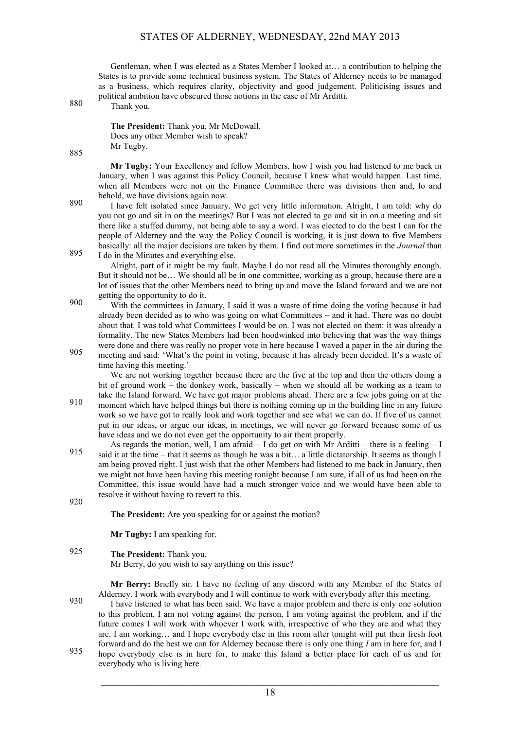Gentleman, when I was elected as a States Member I looked at… a contribution to helping the States is to provide some technical business system. The States of Alderney needs to be managed as a business, which requires clarity, objectivity and good judgement. Politicising issues and political ambition have obscured those notions in the case of Mr Arditti.

Thank you. 880

**The President:** Thank you, Mr McDowall. Does any other Member wish to speak? Mr Tugby.

885

**Mr Tugby:** Your Excellency and fellow Members, how I wish you had listened to me back in January, when I was against this Policy Council, because I knew what would happen. Last time, when all Members were not on the Finance Committee there was divisions then and, lo and behold, we have divisions again now.

I have felt isolated since January. We get very little information. Alright, I am told: why do you not go and sit in on the meetings? But I was not elected to go and sit in on a meeting and sit there like a stuffed dummy, not being able to say a word. I was elected to do the best I can for the people of Alderney and the way the Policy Council is working, it is just down to five Members basically: all the major decisions are taken by them. I find out more sometimes in the *Journal* than  $895$  I do in the Minutes and everything else.

Alright, part of it might be my fault. Maybe I do not read all the Minutes thoroughly enough. But it should not be… We should all be in one committee, working as a group, because there are a lot of issues that the other Members need to bring up and move the Island forward and we are not getting the opportunity to do it.

With the committees in January, I said it was a waste of time doing the voting because it had already been decided as to who was going on what Committees – and it had. There was no doubt about that. I was told what Committees I would be on. I was not elected on them: it was already a formality. The new States Members had been hoodwinked into believing that was the way things were done and there was really no proper vote in here because I waved a paper in the air during the

meeting and said: 'What's the point in voting, because it has already been decided. It's a waste of time having this meeting.'

We are not working together because there are the five at the top and then the others doing a bit of ground work – the donkey work, basically – when we should all be working as a team to take the Island forward. We have got major problems ahead. There are a few jobs going on at the 910 moment which have helped things but there is nothing coming up in the building line in any future

work so we have got to really look and work together and see what we can do. If five of us cannot put in our ideas, or argue our ideas, in meetings, we will never go forward because some of us have ideas and we do not even get the opportunity to air them properly.

As regards the motion, well, I am afraid  $- I$  do get on with Mr Arditti – there is a feeling  $- I$ said it at the time – that it seems as though he was a bit… a little dictatorship. It seems as though I am being proved right. I just wish that the other Members had listened to me back in January, then we might not have been having this meeting tonight because I am sure, if all of us had been on the Committee, this issue would have had a much stronger voice and we would have been able to resolve it without having to revert to this.

920

**The President:** Are you speaking for or against the motion?

**Mr Tugby:** I am speaking for.

#### **The President:** Thank you. 925 Mr Berry, do you wish to say anything on this issue?

**Mr Berry:** Briefly sir. I have no feeling of any discord with any Member of the States of

Alderney. I work with everybody and I will continue to work with everybody after this meeting. I have listened to what has been said. We have a major problem and there is only one solution is to this problem. I am not voting against the person, I am voting against the problem, and if the future comes I will work with whoever I work with, irrespective of who they are and what they are. I am working… and I hope everybody else in this room after tonight will put their fresh foot forward and do the best we can for Alderney because there is only one thing *I* am in here for, and I hope everybody else is in here for, to make this Island a better place for each of us and for 935 everybody who is living here.

 $\mathcal{L}_\text{max}$  , and the contribution of the contribution of the contribution of the contribution of the contribution of the contribution of the contribution of the contribution of the contribution of the contribution of t 18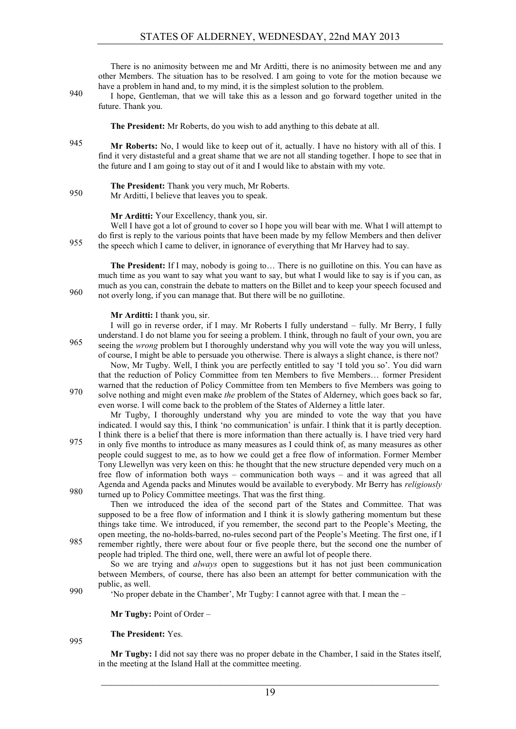There is no animosity between me and Mr Arditti, there is no animosity between me and any other Members. The situation has to be resolved. I am going to vote for the motion because we have a problem in hand and, to my mind, it is the simplest solution to the problem.

I hope, Gentleman, that we will take this as a lesson and go forward together united in the future. Thank you.

**The President:** Mr Roberts, do you wish to add anything to this debate at all.

- 945 **Mr Roberts:** No, I would like to keep out of it, actually. I have no history with all of this. I find it very distasteful and a great shame that we are not all standing together. I hope to see that in the future and I am going to stay out of it and I would like to abstain with my vote.
- **The President:** Thank you very much, Mr Roberts. 950 Mr Arditti, I believe that leaves you to speak.

#### **Mr Arditti:** Your Excellency, thank you, sir.

Well I have got a lot of ground to cover so I hope you will bear with me. What I will attempt to do first is reply to the various points that have been made by my fellow Members and then deliver the speech which I came to deliver, in ignorance of everything that Mr Harvey had to say.

**The President:** If I may, nobody is going to… There is no guillotine on this. You can have as much time as you want to say what you want to say, but what I would like to say is if you can, as much as you can, constrain the debate to matters on the Billet and to keep your speech focused and not overly long, if you can manage that. But there will be no guillotine.

#### **Mr Arditti:** I thank you, sir.

I will go in reverse order, if I may. Mr Roberts I fully understand – fully. Mr Berry, I fully understand. I do not blame you for seeing a problem. I think, through no fault of your own, you are seeing the *wrong* problem but I thoroughly understand why you will vote the way you will unless, of course, I might be able to persuade you otherwise. There is always a slight chance, is there not?

Now, Mr Tugby. Well, I think you are perfectly entitled to say 'I told you so'. You did warn that the reduction of Policy Committee from ten Members to five Members… former President warned that the reduction of Policy Committee from ten Members to five Members was going to solve nothing and might even make *the* problem of the States of Alderney, which goes back so far, even worse. I will come back to the problem of the States of Alderney a little later.

Mr Tugby, I thoroughly understand why you are minded to vote the way that you have indicated. I would say this, I think 'no communication' is unfair. I think that it is partly deception. I think there is a belief that there is more information than there actually is. I have tried very hard

in only five months to introduce as many measures as I could think of, as many measures as other people could suggest to me, as to how we could get a free flow of information. Former Member Tony Llewellyn was very keen on this: he thought that the new structure depended very much on a free flow of information both ways – communication both ways – and it was agreed that all Agenda and Agenda packs and Minutes would be available to everybody. Mr Berry has *religiously* 980 turned up to Policy Committee meetings. That was the first thing.

Then we introduced the idea of the second part of the States and Committee. That was supposed to be a free flow of information and I think it is slowly gathering momentum but these things take time. We introduced, if you remember, the second part to the People's Meeting, the open meeting, the no-holds-barred, no-rules second part of the People's Meeting. The first one, if I Pass remember rightly, there were about four or five people there, but the second one the number of

people had tripled. The third one, well, there were an awful lot of people there.

So we are trying and *always* open to suggestions but it has not just been communication between Members, of course, there has also been an attempt for better communication with the public, as well.

'No proper debate in the Chamber', Mr Tugby: I cannot agree with that. I mean the –

**Mr Tugby: Point of Order –** 

**The President:** Yes.

995

990

**Mr Tugby:** I did not say there was no proper debate in the Chamber, I said in the States itself, in the meeting at the Island Hall at the committee meeting.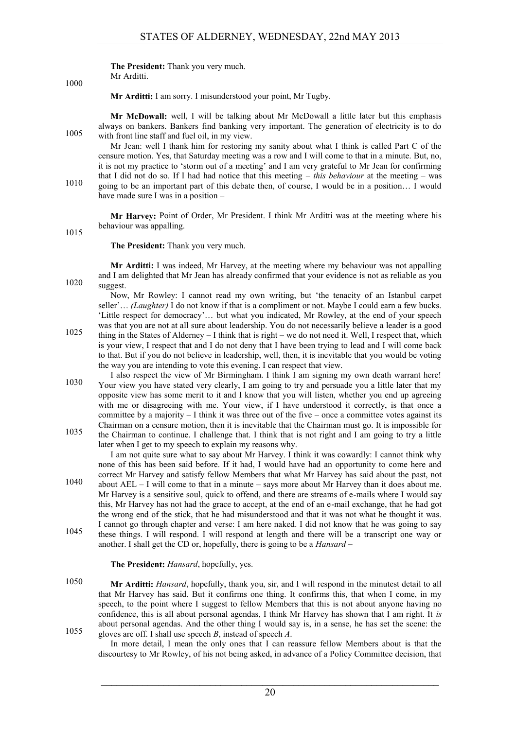#### **The President:** Thank you very much.

Mr Arditti.

1000

**Mr Arditti:** I am sorry. I misunderstood your point, Mr Tugby.

**Mr McDowall:** well, I will be talking about Mr McDowall a little later but this emphasis always on bankers. Bankers find banking very important. The generation of electricity is to do 1005 with front line staff and fuel oil, in my view.

Mr Jean: well I thank him for restoring my sanity about what I think is called Part C of the censure motion. Yes, that Saturday meeting was a row and I will come to that in a minute. But, no, it is not my practice to 'storm out of a meeting' and I am very grateful to Mr Jean for confirming that I did not do so. If I had had notice that this meeting – *this behaviour* at the meeting – was

going to be an important part of this debate then, of course, I would be in a position… I would have made sure I was in a position –

**Mr Harvey:** Point of Order, Mr President. I think Mr Arditti was at the meeting where his behaviour was appalling.

1015

**The President:** Thank you very much.

**Mr Arditti:** I was indeed, Mr Harvey, at the meeting where my behaviour was not appalling and I am delighted that Mr Jean has already confirmed that your evidence is not as reliable as you  $1020$  suggest.

Now, Mr Rowley: I cannot read my own writing, but 'the tenacity of an Istanbul carpet seller'… *(Laughter)* I do not know if that is a compliment or not. Maybe I could earn a few bucks. 'Little respect for democracy'… but what you indicated, Mr Rowley, at the end of your speech was that you are not at all sure about leadership. You do not necessarily believe a leader is a good

- thing in the States of Alderney I think that is right we do not need it. Well, I respect that, which is your view, I respect that and I do not deny that I have been trying to lead and I will come back to that. But if you do not believe in leadership, well, then, it is inevitable that you would be voting the way you are intending to vote this evening. I can respect that view.
- I also respect the view of Mr Birmingham. I think I am signing my own death warrant here! Your view you have stated very clearly, I am going to try and persuade you a little later that my opposite view has some merit to it and I know that you will listen, whether you end up agreeing with me or disagreeing with me. Your view, if I have understood it correctly, is that once a committee by a majority  $-1$  think it was three out of the five – once a committee votes against its Chairman on a censure motion, then it is inevitable that the Chairman must go. It is impossible for
- the Chairman to continue. I challenge that. I think that is not right and I am going to try a little later when I get to my speech to explain my reasons why.

I am not quite sure what to say about Mr Harvey. I think it was cowardly: I cannot think why none of this has been said before. If it had, I would have had an opportunity to come here and correct Mr Harvey and satisfy fellow Members that what Mr Harvey has said about the past, not about AEL – I will come to that in a minute – says more about Mr Harvey than it does about me. Mr Harvey is a sensitive soul, quick to offend, and there are streams of e-mails where I would say

- this, Mr Harvey has not had the grace to accept, at the end of an e-mail exchange, that he had got the wrong end of the stick, that he had misunderstood and that it was not what he thought it was. I cannot go through chapter and verse: I am here naked. I did not know that he was going to say these things. I will respond. I will respond at length and there will be a transcript one way or
- another. I shall get the CD or, hopefully, there is going to be a *Hansard* –

**The President:** *Hansard*, hopefully, yes.

1050 **Mr Arditti:** *Hansard*, hopefully, thank you, sir, and I will respond in the minutest detail to all that Mr Harvey has said. But it confirms one thing. It confirms this, that when I come, in my speech, to the point where I suggest to fellow Members that this is not about anyone having no confidence, this is all about personal agendas, I think Mr Harvey has shown that I am right. It *is* about personal agendas. And the other thing I would say is, in a sense, he has set the scene: the gloves are off. I shall use speech *B*, instead of speech *A*. 1055

In more detail, I mean the only ones that I can reassure fellow Members about is that the discourtesy to Mr Rowley, of his not being asked, in advance of a Policy Committee decision, that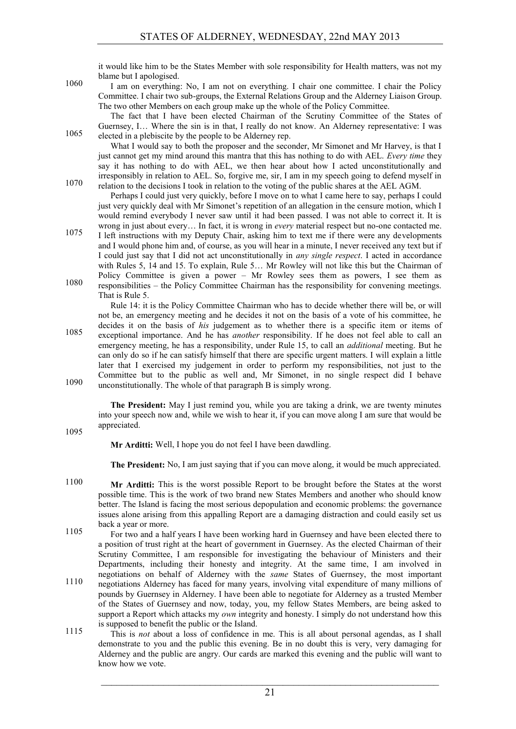it would like him to be the States Member with sole responsibility for Health matters, was not my blame but I apologised.

1060 I am on everything: No, I am not on everything. I chair one committee. I chair the Policy Committee. I chair two sub-groups, the External Relations Group and the Alderney Liaison Group. The two other Members on each group make up the whole of the Policy Committee.

The fact that I have been elected Chairman of the Scrutiny Committee of the States of Guernsey, I… Where the sin is in that, I really do not know. An Alderney representative: I was 1065 elected in a plebiscite by the people to be Alderney rep.

What I would say to both the proposer and the seconder, Mr Simonet and Mr Harvey, is that I just cannot get my mind around this mantra that this has nothing to do with AEL. *Every time* they say it has nothing to do with AEL, we then hear about how I acted unconstitutionally and irresponsibly in relation to AEL. So, forgive me, sir, I am in my speech going to defend myself in relation to the decisions I took in relation to the voting of the public shares at the AEL AGM.

Perhaps I could just very quickly, before I move on to what I came here to say, perhaps I could just very quickly deal with Mr Simonet's repetition of an allegation in the censure motion, which I would remind everybody I never saw until it had been passed. I was not able to correct it. It is wrong in just about every… In fact, it is wrong in *every* material respect but no-one contacted me.

I left instructions with my Deputy Chair, asking him to text me if there were any developments 1075 and I would phone him and, of course, as you will hear in a minute, I never received any text but if I could just say that I did not act unconstitutionally in *any single respect*. I acted in accordance with Rules 5, 14 and 15. To explain, Rule 5… Mr Rowley will not like this but the Chairman of Policy Committee is given a power – Mr Rowley sees them as powers, I see them as 1080 responsibilities – the Policy Committee Chairman has the responsibility for convening meetings. That is Rule 5.

Rule 14: it is the Policy Committee Chairman who has to decide whether there will be, or will not be, an emergency meeting and he decides it not on the basis of a vote of his committee, he decides it on the basis of *his* judgement as to whether there is a specific item or items of exceptional importance. And he has *another* responsibility. If he does not feel able to call an 1085 emergency meeting, he has a responsibility, under Rule 15, to call an *additional* meeting. But he can only do so if he can satisfy himself that there are specific urgent matters. I will explain a little later that I exercised my judgement in order to perform my responsibilities, not just to the Committee but to the public as well and, Mr Simonet, in no single respect did I behave 1090 unconstitutionally. The whole of that paragraph B is simply wrong.

**The President:** May I just remind you, while you are taking a drink, we are twenty minutes into your speech now and, while we wish to hear it, if you can move along I am sure that would be appreciated.

1095

**Mr Arditti:** Well, I hope you do not feel I have been dawdling.

**The President:** No, I am just saying that if you can move along, it would be much appreciated.

- 1100 **Mr Arditti:** This is the worst possible Report to be brought before the States at the worst possible time. This is the work of two brand new States Members and another who should know better. The Island is facing the most serious depopulation and economic problems: the governance issues alone arising from this appalling Report are a damaging distraction and could easily set us back a year or more.
- For two and a half years I have been working hard in Guernsey and have been elected there to a position of trust right at the heart of government in Guernsey. As the elected Chairman of their Scrutiny Committee, I am responsible for investigating the behaviour of Ministers and their Departments, including their honesty and integrity. At the same time, I am involved in negotiations on behalf of Alderney with the *same* States of Guernsey, the most important negotiations of collar or interney with the same states of stermey, the most important negotiations Alderney has faced for many years, involving vital expenditure of many millions of pounds by Guernsey in Alderney. I have been able to negotiate for Alderney as a trusted Member of the States of Guernsey and now, today, you, my fellow States Members, are being asked to support a Report which attacks my *own* integrity and honesty. I simply do not understand how this is supposed to benefit the public or the Island.
- This is *not* about a loss of confidence in me. This is all about personal agendas, as I shall demonstrate to you and the public this evening. Be in no doubt this is very, very damaging for Alderney and the public are angry. Our cards are marked this evening and the public will want to know how we vote.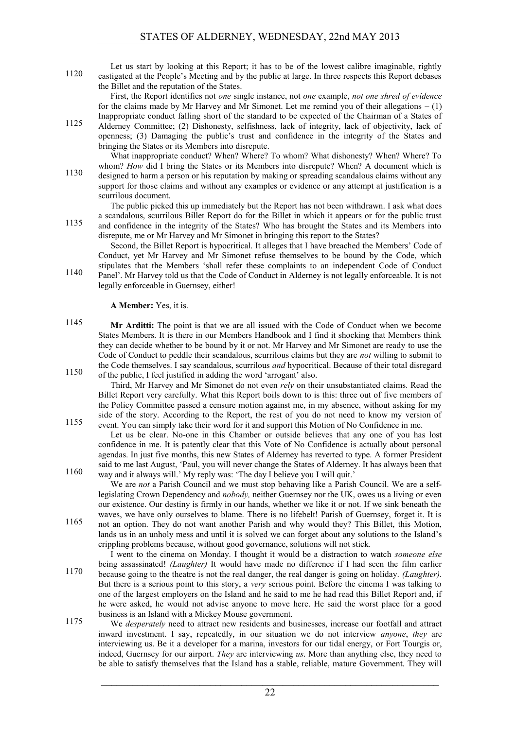Let us start by looking at this Report; it has to be of the lowest calibre imaginable, rightly castigated at the People's Meeting and by the public at large. In three respects this Report debases the Billet and the reputation of the States.

First, the Report identifies not *one* single instance, not *one* example, *not one shred of evidence* for the claims made by Mr Harvey and Mr Simonet. Let me remind you of their allegations  $- (1)$ Inappropriate conduct falling short of the standard to be expected of the Chairman of a States of

Alderney Committee; (2) Dishonesty, selfishness, lack of integrity, lack of objectivity, lack of openness; (3) Damaging the public's trust and confidence in the integrity of the States and bringing the States or its Members into disrepute.

What inappropriate conduct? When? Where? To whom? What dishonesty? When? Where? To whom? *How* did I bring the States or its Members into disrepute? When? A document which is designed to harm a person or his reputation by making or spreading scandalous claims without any 1130 support for those claims and without any examples or evidence or any attempt at justification is a scurrilous document.

The public picked this up immediately but the Report has not been withdrawn. I ask what does a scandalous, scurrilous Billet Report do for the Billet in which it appears or for the public trust and confidence in the integrity of the States? Who has brought the States and its Members into

disrepute, me or Mr Harvey and Mr Simonet in bringing this report to the States? Second, the Billet Report is hypocritical. It alleges that I have breached the Members' Code of

Conduct, yet Mr Harvey and Mr Simonet refuse themselves to be bound by the Code, which stipulates that the Members 'shall refer these complaints to an independent Code of Conduct Panel'. Mr Harvey told us that the Code of Conduct in Alderney is not legally enforceable. It is not

**A Member:** Yes, it is.

legally enforceable in Guernsey, either!

**Mr Arditti:** The point is that we are all issued with the Code of Conduct when we become States Members. It is there in our Members Handbook and I find it shocking that Members think they can decide whether to be bound by it or not. Mr Harvey and Mr Simonet are ready to use the Code of Conduct to peddle their scandalous, scurrilous claims but they are *not* willing to submit to the Code themselves. I say scandalous, scurrilous *and* hypocritical. Because of their total disregard of the public, I feel justified in adding the word 'arrogant' also.

Third, Mr Harvey and Mr Simonet do not even *rely* on their unsubstantiated claims. Read the Billet Report very carefully. What this Report boils down to is this: three out of five members of the Policy Committee passed a censure motion against me, in my absence, without asking for my side of the story. According to the Report, the rest of you do not need to know my version of event. You can simply take their word for it and support this Motion of No Confidence in me.

Let us be clear. No-one in this Chamber or outside believes that any one of you has lost confidence in me. It is patently clear that this Vote of No Confidence is actually about personal agendas. In just five months, this new States of Alderney has reverted to type. A former President said to me last August, 'Paul, you will never change the States of Alderney. It has always been that way and it always will.' My reply was: 'The day I believe you I will quit.'

We are *not* a Parish Council and we must stop behaving like a Parish Council. We are a selflegislating Crown Dependency and *nobody,* neither Guernsey nor the UK, owes us a living or even our existence. Our destiny is firmly in our hands, whether we like it or not. If we sink beneath the waves, we have only ourselves to blame. There is no lifebelt! Parish of Guernsey, forget it. It is not an option. They do not want another Parish and why would they? This Billet, this Motion,

lands us in an unholy mess and until it is solved we can forget about any solutions to the Island's crippling problems because, without good governance, solutions will not stick. I went to the cinema on Monday. I thought it would be a distraction to watch *someone else*

being assassinated! *(Laughter)* It would have made no difference if I had seen the film earlier because going to the theatre is not the real danger, the real danger is going on holiday. *(Laughter).* 1170 But there is a serious point to this story, a *very* serious point. Before the cinema I was talking to one of the largest employers on the Island and he said to me he had read this Billet Report and, if he were asked, he would not advise anyone to move here. He said the worst place for a good business is an Island with a Mickey Mouse government.

We *desperately* need to attract new residents and businesses, increase our footfall and attract inward investment. I say, repeatedly, in our situation we do not interview *anyone*, *they* are interviewing us. Be it a developer for a marina, investors for our tidal energy, or Fort Tourgis or, indeed, Guernsey for our airport. *They* are interviewing *us*. More than anything else, they need to be able to satisfy themselves that the Island has a stable, reliable, mature Government. They will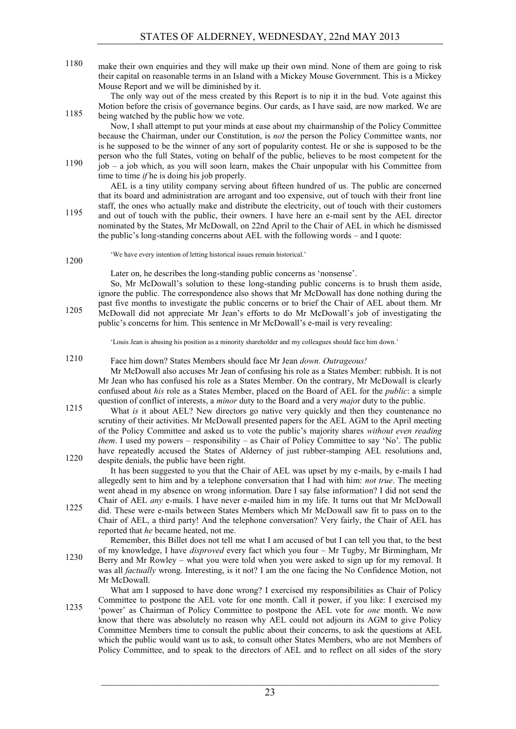1180 make their own enquiries and they will make up their own mind. None of them are going to risk their capital on reasonable terms in an Island with a Mickey Mouse Government. This is a Mickey Mouse Report and we will be diminished by it.

The only way out of the mess created by this Report is to nip it in the bud. Vote against this Motion before the crisis of governance begins. Our cards, as I have said, are now marked. We are being watched by the public how we vote.

Now, I shall attempt to put your minds at ease about my chairmanship of the Policy Committee because the Chairman, under our Constitution, is *not* the person the Policy Committee wants, nor is he supposed to be the winner of any sort of popularity contest. He or she is supposed to be the person who the full States, voting on behalf of the public, believes to be most competent for the  $1190$  job – a job which, as you will soon learn, makes the Chair unpopular with his Committee from time to time *if* he is doing his job properly.

AEL is a tiny utility company serving about fifteen hundred of us. The public are concerned that its board and administration are arrogant and too expensive, out of touch with their front line staff, the ones who actually make and distribute the electricity, out of touch with their customers and out of touch with the public, their owners. I have here an e-mail sent by the AEL director nominated by the States, Mr McDowall, on 22nd April to the Chair of AEL in which he dismissed

the public's long-standing concerns about AEL with the following words – and I quote:

'We have every intention of letting historical issues remain historical.'

1200

Later on, he describes the long-standing public concerns as 'nonsense'.

So, Mr McDowall's solution to these long-standing public concerns is to brush them aside, ignore the public. The correspondence also shows that Mr McDowall has done nothing during the past five months to investigate the public concerns or to brief the Chair of AEL about them. Mr 1205 McDowall did not appreciate Mr Jean's efforts to do Mr McDowall's job of investigating the public's concerns for him. This sentence in Mr McDowall's e-mail is very revealing:

'Louis Jean is abusing his position as a minority shareholder and my colleagues should face him down.'

Face him down? States Members should face Mr Jean *down. Outrageous!* 1210

Mr McDowall also accuses Mr Jean of confusing his role as a States Member: rubbish. It is not Mr Jean who has confused his role as a States Member. On the contrary, Mr McDowall is clearly confused about *his* role as a States Member, placed on the Board of AEL for the *public*: a simple question of conflict of interests, a *minor* duty to the Board and a very *majo*r duty to the public.

What *is* it about AEL? New directors go native very quickly and then they countenance no scrutiny of their activities. Mr McDowall presented papers for the AEL AGM to the April meeting of the Policy Committee and asked us to vote the public's majority shares *without even reading them*. I used my powers – responsibility – as Chair of Policy Committee to say 'No'. The public have repeatedly accused the States of Alderney of just rubber-stamping AEL resolutions and, despite denials, the public have been right.

It has been suggested to you that the Chair of AEL was upset by my e-mails, by e-mails I had allegedly sent to him and by a telephone conversation that I had with him: *not true*. The meeting went ahead in my absence on wrong information. Dare I say false information? I did not send the Chair of AEL *any* e-mails. I have never e-mailed him in my life. It turns out that Mr McDowall did. These were e-mails between States Members which Mr McDowall saw fit to pass on to the

Chair of AEL, a third party! And the telephone conversation? Very fairly, the Chair of AEL has reported that *he* became heated, not me.

Remember, this Billet does not tell me what I am accused of but I can tell you that, to the best of my knowledge, I have *disproved* every fact which you four – Mr Tugby, Mr Birmingham, Mr Berry and Mr Rowley – what you were told when you were asked to sign up for my removal. It was all *factually* wrong. Interesting, is it not? I am the one facing the No Confidence Motion, not Mr McDowall.

What am I supposed to have done wrong? I exercised my responsibilities as Chair of Policy Committee to postpone the AEL vote for one month. Call it power, if you like: I exercised my <sup>1235</sup> 'power' as Chairman of Policy Committee to postpone the AEL vote for *one* month. We now know that there was absolutely no reason why AEL could not adjourn its AGM to give Policy Committee Members time to consult the public about their concerns, to ask the questions at AEL which the public would want us to ask, to consult other States Members, who are not Members of Policy Committee, and to speak to the directors of AEL and to reflect on all sides of the story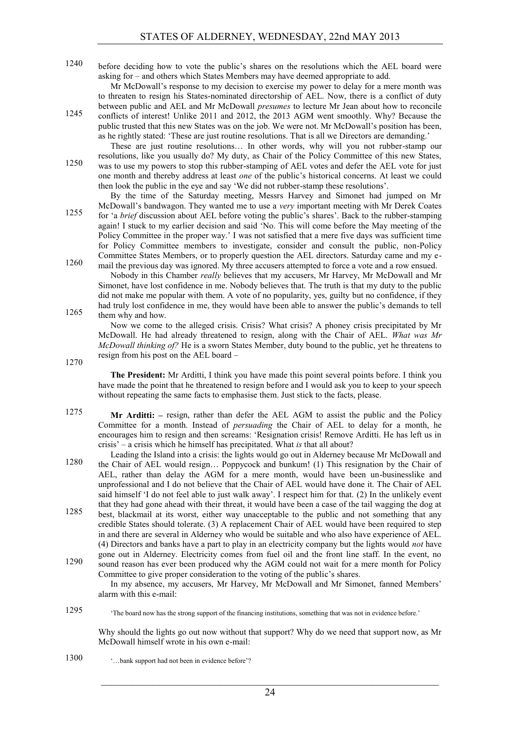1240 before deciding how to vote the public's shares on the resolutions which the AEL board were asking for – and others which States Members may have deemed appropriate to add.

Mr McDowall's response to my decision to exercise my power to delay for a mere month was to threaten to resign his States-nominated directorship of AEL. Now, there is a conflict of duty between public and AEL and Mr McDowall *presumes* to lecture Mr Jean about how to reconcile conflicts of interest! Unlike 2011 and 2012, the 2013 AGM went smoothly. Why? Because the public trusted that this new States was on the job. We were not. Mr McDowall's position has been, as he rightly stated: 'These are just routine resolutions. That is all we Directors are demanding.'

These are just routine resolutions… In other words, why will you not rubber-stamp our

resolutions, like you usually do? My duty, as Chair of the Policy Committee of this new States, was to use my powers to stop this rubber-stamping of AEL votes and defer the AEL vote for just one month and thereby address at least *one* of the public's historical concerns. At least we could then look the public in the eye and say 'We did not rubber-stamp these resolutions'.

By the time of the Saturday meeting, Messrs Harvey and Simonet had jumped on Mr McDowall's bandwagon. They wanted me to use a *very* important meeting with Mr Derek Coates for 'a *brief* discussion about AEL before voting the public's shares'. Back to the rubber-stamping 1255 again! I stuck to my earlier decision and said 'No. This will come before the May meeting of the Policy Committee in the proper way.' I was not satisfied that a mere five days was sufficient time

for Policy Committee members to investigate, consider and consult the public, non-Policy Committee States Members, or to properly question the AEL directors. Saturday came and my email the previous day was ignored. My three accusers attempted to force a vote and a row ensued.

Nobody in this Chamber *really* believes that my accusers, Mr Harvey, Mr McDowall and Mr Simonet, have lost confidence in me. Nobody believes that. The truth is that my duty to the public did not make me popular with them. A vote of no popularity, yes, guilty but no confidence, if they had truly lost confidence in me, they would have been able to answer the public's demands to tell 1265 them why and how.

Now we come to the alleged crisis. Crisis? What crisis? A phoney crisis precipitated by Mr McDowall. He had already threatened to resign, along with the Chair of AEL. *What was Mr McDowall thinking of?* He is a sworn States Member, duty bound to the public, yet he threatens to resign from his post on the AEL board –

1270

**The President:** Mr Arditti, I think you have made this point several points before. I think you have made the point that he threatened to resign before and I would ask you to keep to your speech without repeating the same facts to emphasise them. Just stick to the facts, please.

1275 **Mr Arditti:** – resign, rather than defer the AEL AGM to assist the public and the Policy Committee for a month. Instead of *persuading* the Chair of AEL to delay for a month, he encourages him to resign and then screams: 'Resignation crisis! Remove Arditti. He has left us in crisis' – a crisis which he himself has precipitated. What *is* that all about?

Leading the Island into a crisis: the lights would go out in Alderney because Mr McDowall and the Chair of AEL would resign… Poppycock and bunkum! (1) This resignation by the Chair of AEL, rather than delay the AGM for a mere month, would have been un-businesslike and unprofessional and I do not believe that the Chair of AEL would have done it. The Chair of AEL said himself 'I do not feel able to just walk away'. I respect him for that. (2) In the unlikely event that they had gone ahead with their threat, it would have been a case of the tail wagging the dog at

- best, blackmail at its worst, either way unacceptable to the public and not something that any 1285 credible States should tolerate. (3) A replacement Chair of AEL would have been required to step in and there are several in Alderney who would be suitable and who also have experience of AEL. (4) Directors and banks have a part to play in an electricity company but the lights would *not* have gone out in Alderney. Electricity comes from fuel oil and the front line staff. In the event, no
- sound reason has ever been produced why the AGM could not wait for a mere month for Policy Committee to give proper consideration to the voting of the public's shares. In my absence, my accusers, Mr Harvey, Mr McDowall and Mr Simonet, fanned Members'

alarm with this e-mail:

'The board now has the strong support of the financing institutions, something that was not in evidence before.' 1295

Why should the lights go out now without that support? Why do we need that support now, as Mr McDowall himself wrote in his own e-mail:

'…bank support had not been in evidence before'? 1300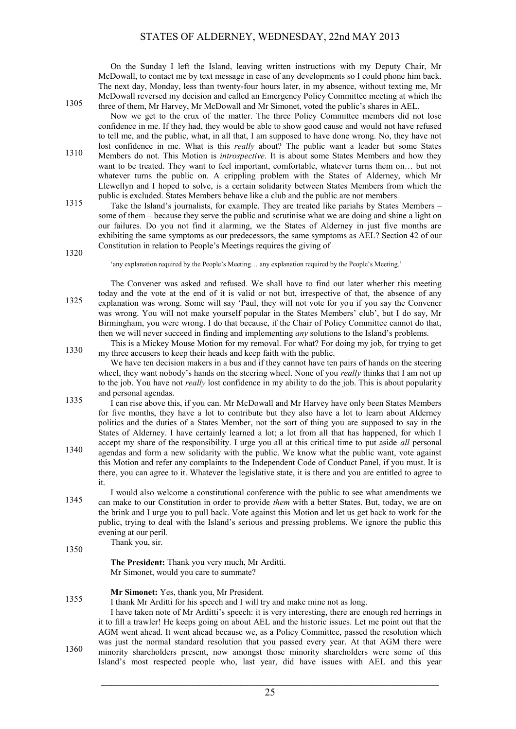On the Sunday I left the Island, leaving written instructions with my Deputy Chair, Mr McDowall, to contact me by text message in case of any developments so I could phone him back. The next day, Monday, less than twenty-four hours later, in my absence, without texting me, Mr McDowall reversed my decision and called an Emergency Policy Committee meeting at which the three of them, Mr Harvey, Mr McDowall and Mr Simonet, voted the public's shares in AEL.

Now we get to the crux of the matter. The three Policy Committee members did not lose confidence in me. If they had, they would be able to show good cause and would not have refused to tell me, and the public, what, in all that, I am supposed to have done wrong. No, they have not lost confidence in me. What is this *really* about? The public want a leader but some States Members do not. This Motion is *introspective*. It is about some States Members and how they want to be treated. They want to feel important, comfortable, whatever turns them on… but not whatever turns the public on. A crippling problem with the States of Alderney, which Mr Llewellyn and I hoped to solve, is a certain solidarity between States Members from which the public is excluded. States Members behave like a club and the public are not members.

Take the Island's journalists, for example. They are treated like pariahs by States Members – 1315 some of them – because they serve the public and scrutinise what we are doing and shine a light on our failures. Do you not find it alarming, we the States of Alderney in just five months are exhibiting the same symptoms as our predecessors, the same symptoms as AEL? Section 42 of our Constitution in relation to People's Meetings requires the giving of

1320

'any explanation required by the People's Meeting… any explanation required by the People's Meeting.'

The Convener was asked and refused. We shall have to find out later whether this meeting today and the vote at the end of it is valid or not but, irrespective of that, the absence of any explanation was wrong. Some will say 'Paul, they will not vote for you if you say the Convener was wrong. You will not make yourself popular in the States Members' club', but I do say, Mr Birmingham, you were wrong. I do that because, if the Chair of Policy Committee cannot do that, then we will never succeed in finding and implementing *any* solutions to the Island's problems.

This is a Mickey Mouse Motion for my removal. For what? For doing my job, for trying to get my three accusers to keep their heads and keep faith with the public.

We have ten decision makers in a bus and if they cannot have ten pairs of hands on the steering wheel, they want nobody's hands on the steering wheel. None of you *really* thinks that I am not up to the job. You have not *really* lost confidence in my ability to do the job. This is about popularity and personal agendas.

1335 I can rise above this, if you can. Mr McDowall and Mr Harvey have only been States Members for five months, they have a lot to contribute but they also have a lot to learn about Alderney politics and the duties of a States Member, not the sort of thing you are supposed to say in the States of Alderney. I have certainly learned a lot; a lot from all that has happened, for which I accept my share of the responsibility. I urge you all at this critical time to put aside *all* personal

- agendas and form a new solidarity with the public. We know what the public want, vote against this Motion and refer any complaints to the Independent Code of Conduct Panel, if you must. It is there, you can agree to it. Whatever the legislative state, it is there and you are entitled to agree to it.
- I would also welcome a constitutional conference with the public to see what amendments we can make to our Constitution in order to provide *them* with a better States. But, today, we are on the brink and I urge you to pull back. Vote against this Motion and let us get back to work for the public, trying to deal with the Island's serious and pressing problems. We ignore the public this evening at our peril.

Thank you, sir.

1350

**The President:** Thank you very much, Mr Arditti. Mr Simonet, would you care to summate?

#### **Mr Simonet:** Yes, thank you, Mr President.

1355 I thank Mr Arditti for his speech and I will try and make mine not as long.

I have taken note of Mr Arditti's speech: it is very interesting, there are enough red herrings in it to fill a trawler! He keeps going on about AEL and the historic issues. Let me point out that the AGM went ahead. It went ahead because we, as a Policy Committee, passed the resolution which was just the normal standard resolution that you passed every year. At that AGM there were minority shareholders present, now amongst those minority shareholders were some of this Island's most respected people who, last year, did have issues with AEL and this year

 $\mathcal{L}_\text{max}$  , and the contribution of the contribution of the contribution of the contribution of the contribution of the contribution of the contribution of the contribution of the contribution of the contribution of t 25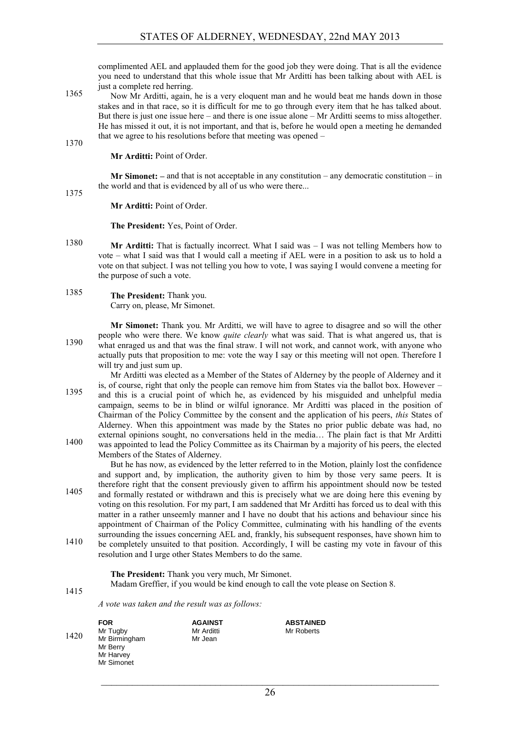complimented AEL and applauded them for the good job they were doing. That is all the evidence you need to understand that this whole issue that Mr Arditti has been talking about with AEL is just a complete red herring.

Now Mr Arditti, again, he is a very eloquent man and he would beat me hands down in those stakes and in that race, so it is difficult for me to go through every item that he has talked about. But there is just one issue here – and there is one issue alone – Mr Arditti seems to miss altogether. He has missed it out, it is not important, and that is, before he would open a meeting he demanded that we agree to his resolutions before that meeting was opened –

**Mr Arditti:** Point of Order.

1370

**Mr Simonet:** – and that is not acceptable in any constitution – any democratic constitution – in the world and that is evidenced by all of us who were there... 1375

**Mr Arditti:** Point of Order.

**The President:** Yes, Point of Order.

1380 **Mr Arditti:** That is factually incorrect. What I said was – I was not telling Members how to vote – what I said was that I would call a meeting if AEL were in a position to ask us to hold a vote on that subject. I was not telling you how to vote, I was saying I would convene a meeting for the purpose of such a vote.

1385 **The President:** Thank you. Carry on, please, Mr Simonet.

**Mr Simonet:** Thank you. Mr Arditti, we will have to agree to disagree and so will the other people who were there. We know *quite clearly* what was said. That is what angered us, that is what enraged us and that was the final straw. I will not work, and cannot work, with anyone who actually puts that proposition to me: vote the way I say or this meeting will not open. Therefore I will try and just sum up.

Mr Arditti was elected as a Member of the States of Alderney by the people of Alderney and it is, of course, right that only the people can remove him from States via the ballot box. However – and this is a crucial point of which he, as evidenced by his misguided and unhelpful media 1395 campaign, seems to be in blind or wilful ignorance. Mr Arditti was placed in the position of Chairman of the Policy Committee by the consent and the application of his peers, *this* States of Alderney. When this appointment was made by the States no prior public debate was had, no external opinions sought, no conversations held in the media… The plain fact is that Mr Arditti was appointed to lead the Policy Committee as its Chairman by a majority of his peers, the elected

Members of the States of Alderney.

But he has now, as evidenced by the letter referred to in the Motion, plainly lost the confidence and support and, by implication, the authority given to him by those very same peers. It is therefore right that the consent previously given to affirm his appointment should now be tested and formally restated or withdrawn and this is precisely what we are doing here this evening by 1405 voting on this resolution. For my part, I am saddened that Mr Arditti has forced us to deal with this matter in a rather unseemly manner and I have no doubt that his actions and behaviour since his appointment of Chairman of the Policy Committee, culminating with his handling of the events surrounding the issues concerning AEL and, frankly, his subsequent responses, have shown him to <sup>1410</sup> be completely unsuited to that position. Accordingly, I will be casting my vote in favour of this resolution and I urge other States Members to do the same.

**The President:** Thank you very much, Mr Simonet.

Madam Greffier, if you would be kind enough to call the vote please on Section 8.

1415

*A vote was taken and the result was as follows:*

|      | <b>FOR</b>    | <b>AGAINST</b> | <b>ABSTAINED</b> |
|------|---------------|----------------|------------------|
| 1420 | Mr Tugby      | Mr Arditti     | Mr Roberts       |
|      | Mr Birmingham | Mr Jean        |                  |
|      | Mr Berry      |                |                  |
|      | Mr Harvey     |                |                  |
|      | Mr Simonet    |                |                  |
|      |               |                |                  |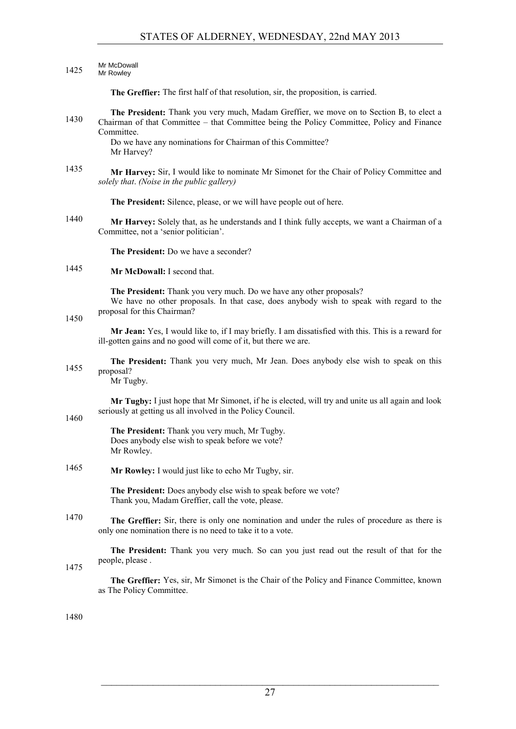#### Mr McDowall

## 1425 Mr Rowley

**The Greffier:** The first half of that resolution, sir, the proposition, is carried.

#### **The President:** Thank you very much, Madam Greffier, we move on to Section B, to elect a 1430 Chairman of that Committee – that Committee being the Policy Committee, Policy and Finance Committee.

Do we have any nominations for Chairman of this Committee? Mr Harvey?

#### 1435 **Mr Harvey:** Sir, I would like to nominate Mr Simonet for the Chair of Policy Committee and *solely that*. *(Noise in the public gallery)*

**The President:** Silence, please, or we will have people out of here.

1440 **Mr Harvey:** Solely that, as he understands and I think fully accepts, we want a Chairman of a Committee, not a 'senior politician'.

**The President:** Do we have a seconder?

1445 **Mr McDowall:** I second that.

**The President:** Thank you very much. Do we have any other proposals? We have no other proposals. In that case, does anybody wish to speak with regard to the proposal for this Chairman?

1450

1460

**Mr Jean:** Yes, I would like to, if I may briefly. I am dissatisfied with this. This is a reward for ill-gotten gains and no good will come of it, but there we are.

**The President:** Thank you very much, Mr Jean. Does anybody else wish to speak on this 1455 proposal?

Mr Tugby.

**Mr Tugby:** I just hope that Mr Simonet, if he is elected, will try and unite us all again and look seriously at getting us all involved in the Policy Council.

**The President:** Thank you very much, Mr Tugby. Does anybody else wish to speak before we vote? Mr Rowley.

1465 **Mr Rowley:** I would just like to echo Mr Tugby, sir.

**The President:** Does anybody else wish to speak before we vote? Thank you, Madam Greffier, call the vote, please.

**The Greffier:** Sir, there is only one nomination and under the rules of procedure as there is only one nomination there is no need to take it to a vote.

**The President:** Thank you very much. So can you just read out the result of that for the people, please . 1475

**The Greffier:** Yes, sir, Mr Simonet is the Chair of the Policy and Finance Committee, known as The Policy Committee.

1480